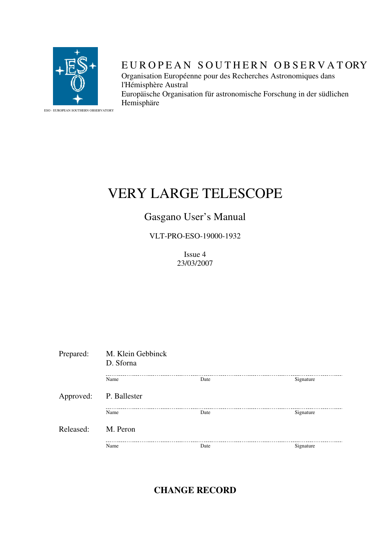

# EUROPEAN SOUTHERN OBSERVATORY

Organisation Européenne pour des Recherches Astronomiques dans l'Hémisphère Austral Europäische Organisation für astronomische Forschung in der südlichen Hemisphäre

ESO - EUROPEAN SOUTHERN OBSERVATORY

# VERY LARGE TELESCOPE

# Gasgano User's Manual

VLT-PRO-ESO-19000-1932

Issue 4 23/03/2007

| Prepared: | M. Klein Gebbinck<br>D. Sforna |      |           |
|-----------|--------------------------------|------|-----------|
|           | Name                           | Date | Signature |
| Approved: | P. Ballester                   |      |           |
|           | Name                           | Date | Signature |
| Released: | M. Peron                       |      |           |
|           | Name                           | Date | Signature |

**CHANGE RECORD**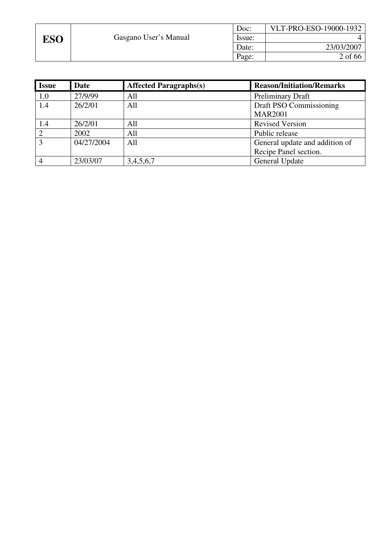|            |                       | Doc:   | VLT-PRO-ESO-19000-1932 |
|------------|-----------------------|--------|------------------------|
| <b>ESO</b> | Gasgano User's Manual | Issue: |                        |
|            |                       | Date:  | 23/03/2007             |
|            |                       | Page:  | 2 of 66                |

| <b>Issue</b> | Date       | <b>Affected Paragraphs(s)</b> | <b>Reason/Initiation/Remarks</b> |
|--------------|------------|-------------------------------|----------------------------------|
| 1.0          | 27/9/99    | All                           | <b>Preliminary Draft</b>         |
| 1.4          | 26/2/01    | All                           | Draft PSO Commissioning          |
|              |            |                               | <b>MAR2001</b>                   |
| 1.4          | 26/2/01    | All                           | <b>Revised Version</b>           |
|              | 2002       | All                           | Public release                   |
| 3            | 04/27/2004 | All                           | General update and addition of   |
|              |            |                               | Recipe Panel section.            |
|              | 23/03/07   | 3,4,5,6,7                     | General Update                   |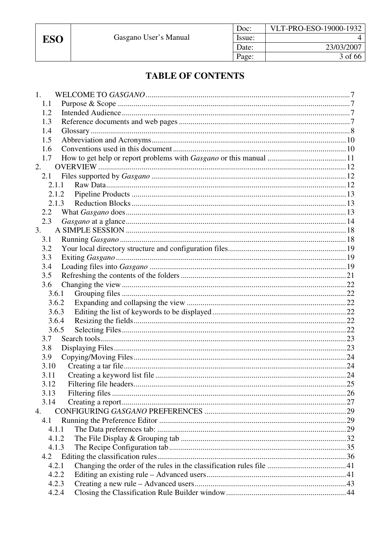**ESO** 

# **TABLE OF CONTENTS**

| 1.          |  |
|-------------|--|
| 1.1         |  |
| 1.2         |  |
| 1.3         |  |
| 1.4         |  |
| 1.5         |  |
| 1.6         |  |
| 1.7         |  |
| 2.          |  |
| 2.1         |  |
| 2.1.1       |  |
| 2.1.2       |  |
| 2.1.3       |  |
| 2.2         |  |
| 2.3         |  |
| 3.          |  |
| 3.1         |  |
| 3.2         |  |
| 3.3         |  |
| 3.4         |  |
| 3.5         |  |
| 3.6         |  |
| 3.6.1       |  |
| 3.6.2       |  |
| 3.6.3       |  |
| 3.6.4       |  |
| 3.6.5       |  |
| 3.7         |  |
| 3.8         |  |
|             |  |
| 3.9<br>3.10 |  |
|             |  |
| 3.11        |  |
| 3.12        |  |
| 3.13        |  |
| 3.14        |  |
| 4.          |  |
| 4.1         |  |
| 4.1.1       |  |
| 4.1.2       |  |
| 4.1.3       |  |
| 4.2         |  |
| 4.2.1       |  |
| 4.2.2       |  |
| 4.2.3       |  |
| 4.2.4       |  |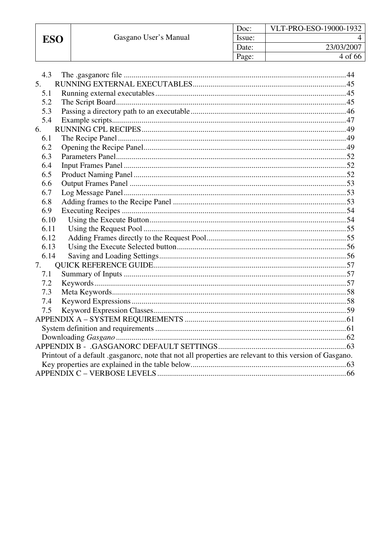ESO

| Doc:   | VLT-PRO-ESO-19000-1932 |
|--------|------------------------|
| Issue: |                        |
| Date:  | 23/03/2007             |
| Page:  | 4 of 66                |

| 4.3            |                                                                                                         |
|----------------|---------------------------------------------------------------------------------------------------------|
| 5 <sub>1</sub> |                                                                                                         |
| 5.1            |                                                                                                         |
| 5.2            |                                                                                                         |
| 5.3            |                                                                                                         |
| 5.4            |                                                                                                         |
| 6.             |                                                                                                         |
| 6.1            |                                                                                                         |
|                |                                                                                                         |
| 6.2            |                                                                                                         |
| 6.3            |                                                                                                         |
| 6.4            |                                                                                                         |
| 6.5            |                                                                                                         |
| 6.6            |                                                                                                         |
| 6.7            |                                                                                                         |
| 6.8            |                                                                                                         |
| 6.9            |                                                                                                         |
| 6.10           |                                                                                                         |
| 6.11           |                                                                                                         |
| 6.12           |                                                                                                         |
| 6.13           |                                                                                                         |
| 6.14           |                                                                                                         |
| 7.             |                                                                                                         |
| 7.1            |                                                                                                         |
| 7.2            |                                                                                                         |
| 7.3            |                                                                                                         |
| 7.4            |                                                                                                         |
| 7.5            |                                                                                                         |
|                |                                                                                                         |
|                |                                                                                                         |
|                |                                                                                                         |
|                |                                                                                                         |
|                | Printout of a default .gasganorc, note that not all properties are relevant to this version of Gasgano. |
|                |                                                                                                         |
|                |                                                                                                         |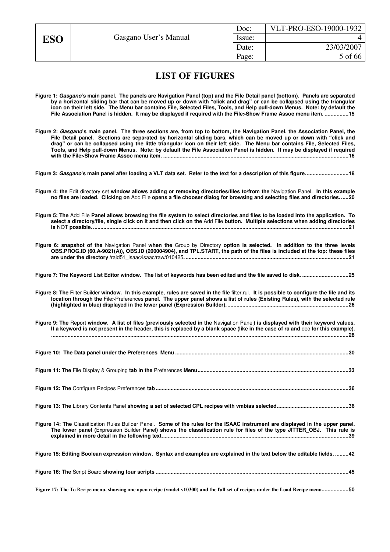| Doc:   | VLT-PRO-ESO-19000-1932 |
|--------|------------------------|
| Issue: |                        |
| Date:  | 23/03/2007             |
| Page:  | 5 of 66                |

# **LIST OF FIGURES**

- **Figure 1:** *Gasgano***'s main panel. The panels are Navigation Panel (top) and the File Detail panel (bottom). Panels are separated by a horizontal sliding bar that can be moved up or down with "click and drag" or can be collapsed using the triangular icon on their left side. The Menu bar contains File, Selected Files, Tools, and Help pull-down Menus. Note: by default the File Association Panel is hidden. It may be displayed if required with the File>Show Frame Assoc menu item. ................15**
- **Figure 2:** *Gasgano***'s main panel. The three sections are, from top to bottom, the Navigation Panel, the Association Panel, the File Detail panel. Sections are separated by horizontal sliding bars, which can be moved up or down with "click and drag" or can be collapsed using the little triangular icon on their left side. The Menu bar contains File, Selected Files, Tools, and Help pull-down Menus. Note: by default the File Association Panel is hidden. It may be displayed if required with the File>Show Frame Assoc menu item. ............................................................................................................................16**

**Figure 3:** *Gasgano***'s main panel after loading a VLT data set. Refer to the text for a description of this figure.............................18**

- **Figure 4: the** Edit directory set **window allows adding or removing directories/files to/from the** Navigation Panel. **In this example no files are loaded. Clicking on** Add File **opens a file chooser dialog for browsing and selecting files and directories. .....20**
- **Figure 5: The** Add File **Panel allows browsing the file system to select directories and files to be loaded into the application. To select a directory/file, single click on it and then click on the** Add File **button. Multiple selections when adding directories is** NOT **possible. ...........................................................................................................................................................................21**

**Figure 6: snapshot of the** Navigation Panel **when the** Group by Directory **option is selected. In addition to the three levels OBS.PROG.ID (60.A-9021(A)), OBS.ID (200004904), and TPL.START, the path of the files is included at the top: these files are under the directory /**raid51\_isaac/isaac/raw/010425**. .............................................................................................................21**

**Figure 7: The Keyword List Editor window. The list of keywords has been edited and the file saved to disk. ...............................25**

**Figure 8: The** Filter Builder **window. In this example, rules are saved in the file** filter.rul. **It is possible to configure the file and its location through the** File>Preferences **panel. The upper panel shows a list of rules (Existing Rules), with the selected rule (highlighted in blue) displayed in the lower panel (Expression Builder). .................................................................................26**

**Figure 9: The** Report **window. A list of files (previously selected in the** Navigation Panel**) is displayed with their keyword values. If a keyword is not present in the header, this is replaced by a blank space (like in the case of ra and** dec **for this example). .......................................................................................................................................................................................................28**

**Figure 13: The** Library Contents Panel **showing a set of selected CPL recipes with vmbias selected................................................36**

**Figure 14: The** Classification Rules Builder Panel**. Some of the rules for the ISAAC instrument are displayed in the upper panel. The lower panel (**Expression Builder Panel**) shows the classification rule for files of the type JITTER\_OBJ. This rule is explained in more detail in the following text.............................................................................................................................39**

**Figure 15: Editing Boolean expression window. Syntax and examples are explained in the text below the editable fields. .........42**

**Figure 17: The** To Recipe **menu, showing one open recipe (vmdet v10300) and the full set of recipes under the Load Recipe menu..................50**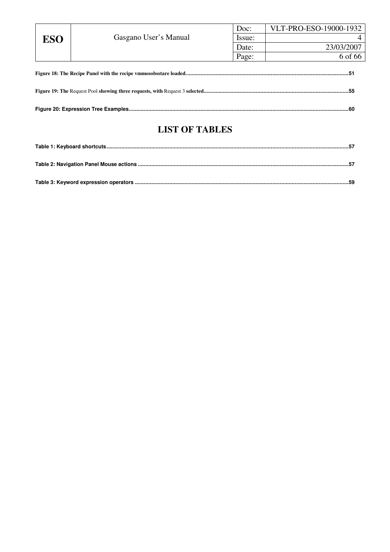|            |                       | Doc:   | VLT-PRO-ESO-19000-1932 |  |
|------------|-----------------------|--------|------------------------|--|
| <b>ESO</b> | Gasgano User's Manual | Issue: |                        |  |
|            |                       | Date:  | 23/03/2007             |  |
|            |                       | Page:  | 6 of 66                |  |
|            |                       |        |                        |  |
|            |                       |        |                        |  |
|            |                       |        |                        |  |

# **LIST OF TABLES**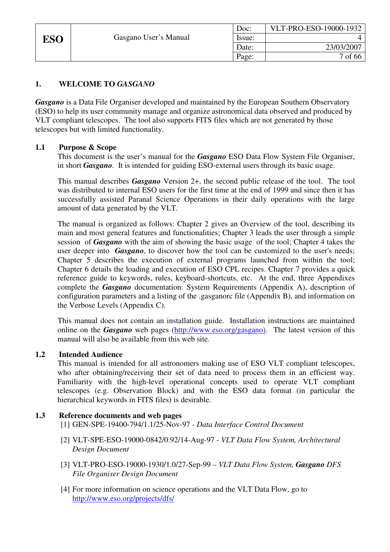# **1. WELCOME TO** *GASGANO*

*Gasgano* is a Data File Organiser developed and maintained by the European Southern Observatory (ESO) to help its user community manage and organize astronomical data observed and produced by VLT compliant telescopes. The tool also supports FITS files which are not generated by those telescopes but with limited functionality.

# **1.1 Purpose & Scope**

This document is the user's manual for the *Gasgano* ESO Data Flow System File Organiser, in short *Gasgano.* It is intended for guiding ESO-external users through its basic usage.

This manual describes *Gasgano* Version 2+, the second public release of the tool. The tool was distributed to internal ESO users for the first time at the end of 1999 and since then it has successfully assisted Paranal Science Operations in their daily operations with the large amount of data generated by the VLT.

The manual is organized as follows: Chapter 2 gives an Overview of the tool, describing its main and most general features and functionalities; Chapter 3 leads the user through a simple session of *Gasgano* with the aim of showing the basic usage of the tool; Chapter 4 takes the user deeper into *Gasgano*, to discover how the tool can be customized to the user's needs; Chapter 5 describes the execution of external programs launched from within the tool; Chapter 6 details the loading and execution of ESO CPL recipes. Chapter 7 provides a quick reference guide to keywords, rules, keyboard-shortcuts, etc. At the end, three Appendixes complete the *Gasgano* documentation: System Requirements (Appendix A), description of configuration parameters and a listing of the .gasganorc file (Appendix B), and information on the Verbose Levels (Appendix C).

This manual does not contain an installation guide. Installation instructions are maintained online on the *Gasgano* web pages (http://www.eso.org/gasgano). The latest version of this manual will also be available from this web site.

#### **1.2 Intended Audience**

This manual is intended for all astronomers making use of ESO VLT compliant telescopes, who after obtaining/receiving their set of data need to process them in an efficient way. Familiarity with the high-level operational concepts used to operate VLT compliant telescopes (e.g. Observation Block) and with the ESO data format (in particular the hierarchical keywords in FITS files) is desirable.

#### **1.3 Reference documents and web pages**

- [1] GEN-SPE-19400-794/1.1/25-Nov-97 *Data Interface Control Document*
- [2] VLT-SPE-ESO-19000-0842/0.92/14-Aug-97 *VLT Data Flow System, Architectural Design Document*
- [3] VLT-PRO-ESO-19000-1930/1.0/27-Sep-99 *VLT Data Flow System, Gasgano DFS File Organiser Design Document*
- [4] For more information on science operations and the VLT Data Flow, go to http://www.eso.org/projects/dfs/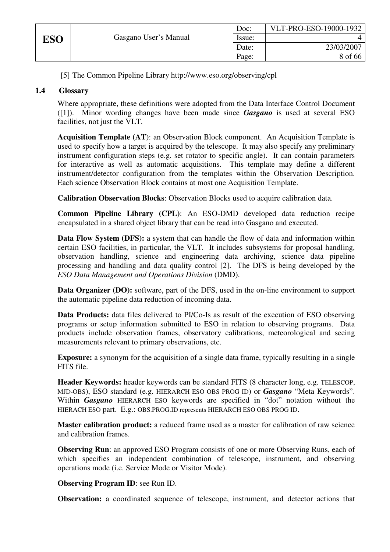|     |                       | Doc:   | VLT-PRO-ESO-19000-1932 |
|-----|-----------------------|--------|------------------------|
| ESO | Gasgano User's Manual | Issue: |                        |
|     |                       | Date:  | 23/03/2007             |
|     |                       | Page:  | 8 of 66                |

[5] The Common Pipeline Library http://www.eso.org/observing/cpl

# **1.4 Glossary**

Where appropriate, these definitions were adopted from the Data Interface Control Document ([1]). Minor wording changes have been made since *Gasgano* is used at several ESO facilities, not just the VLT.

**Acquisition Template (AT**): an Observation Block component. An Acquisition Template is used to specify how a target is acquired by the telescope. It may also specify any preliminary instrument configuration steps (e.g. set rotator to specific angle). It can contain parameters for interactive as well as automatic acquisitions. This template may define a different instrument/detector configuration from the templates within the Observation Description. Each science Observation Block contains at most one Acquisition Template.

**Calibration Observation Blocks**: Observation Blocks used to acquire calibration data.

**Common Pipeline Library (CPL)**: An ESO-DMD developed data reduction recipe encapsulated in a shared object library that can be read into Gasgano and executed.

**Data Flow System (DFS):** a system that can handle the flow of data and information within certain ESO facilities, in particular, the VLT. It includes subsystems for proposal handling, observation handling, science and engineering data archiving, science data pipeline processing and handling and data quality control [2]. The DFS is being developed by the *ESO Data Management and Operations Division* (DMD).

**Data Organizer (DO):** software, part of the DFS, used in the on-line environment to support the automatic pipeline data reduction of incoming data.

**Data Products:** data files delivered to PI/Co-Is as result of the execution of ESO observing programs or setup information submitted to ESO in relation to observing programs. Data products include observation frames, observatory calibrations, meteorological and seeing measurements relevant to primary observations, etc.

**Exposure:** a synonym for the acquisition of a single data frame, typically resulting in a single FITS file.

**Header Keywords:** header keywords can be standard FITS (8 character long, e.g. TELESCOP, MJD-OBS), ESO standard (e.g. HIERARCH ESO OBS PROG ID) or *Gasgano* "Meta Keywords". Within *Gasgano* HIERARCH ESO keywords are specified in "dot" notation without the HIERACH ESO part. E.g.: OBS.PROG.ID represents HIERARCH ESO OBS PROG ID.

**Master calibration product:** a reduced frame used as a master for calibration of raw science and calibration frames.

**Observing Run**: an approved ESO Program consists of one or more Observing Runs, each of which specifies an independent combination of telescope, instrument, and observing operations mode (i.e. Service Mode or Visitor Mode).

**Observing Program ID**: see Run ID.

**Observation:** a coordinated sequence of telescope, instrument, and detector actions that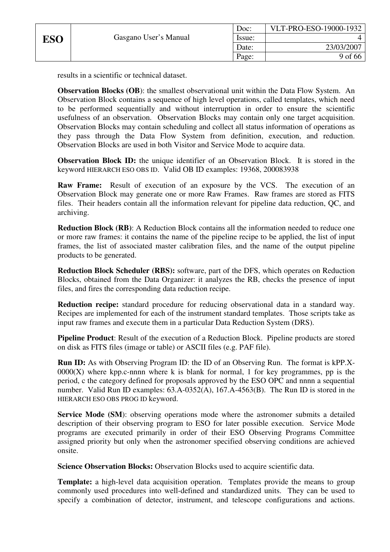results in a scientific or technical dataset.

**Observation Blocks (OB):** the smallest observational unit within the Data Flow System. An Observation Block contains a sequence of high level operations, called templates, which need to be performed sequentially and without interruption in order to ensure the scientific usefulness of an observation. Observation Blocks may contain only one target acquisition. Observation Blocks may contain scheduling and collect all status information of operations as they pass through the Data Flow System from definition, execution, and reduction. Observation Blocks are used in both Visitor and Service Mode to acquire data.

**Observation Block ID:** the unique identifier of an Observation Block. It is stored in the keyword HIERARCH ESO OBS ID. Valid OB ID examples: 19368, 200083938

**Raw Frame:** Result of execution of an exposure by the VCS. The execution of an Observation Block may generate one or more Raw Frames. Raw frames are stored as FITS files. Their headers contain all the information relevant for pipeline data reduction, QC, and archiving.

**Reduction Block (RB)**: A Reduction Block contains all the information needed to reduce one or more raw frames: it contains the name of the pipeline recipe to be applied, the list of input frames, the list of associated master calibration files, and the name of the output pipeline products to be generated.

**Reduction Block Scheduler (RBS):** software, part of the DFS, which operates on Reduction Blocks, obtained from the Data Organizer: it analyzes the RB, checks the presence of input files, and fires the corresponding data reduction recipe.

**Reduction recipe:** standard procedure for reducing observational data in a standard way. Recipes are implemented for each of the instrument standard templates. Those scripts take as input raw frames and execute them in a particular Data Reduction System (DRS).

**Pipeline Product**: Result of the execution of a Reduction Block. Pipeline products are stored on disk as FITS files (image or table) or ASCII files (e.g. PAF file).

**Run ID:** As with Observing Program ID: the ID of an Observing Run. The format is kPP.X- $0000(X)$  where kpp.c-nnnn where k is blank for normal, 1 for key programmes, pp is the period, c the category defined for proposals approved by the ESO OPC and nnnn a sequential number. Valid Run ID examples: 63.A-0352(A), 167.A-4563(B). The Run ID is stored in the HIERARCH ESO OBS PROG ID keyword.

**Service Mode (SM)**: observing operations mode where the astronomer submits a detailed description of their observing program to ESO for later possible execution. Service Mode programs are executed primarily in order of their ESO Observing Programs Committee assigned priority but only when the astronomer specified observing conditions are achieved onsite.

**Science Observation Blocks:** Observation Blocks used to acquire scientific data.

**Template:** a high-level data acquisition operation. Templates provide the means to group commonly used procedures into well-defined and standardized units. They can be used to specify a combination of detector, instrument, and telescope configurations and actions.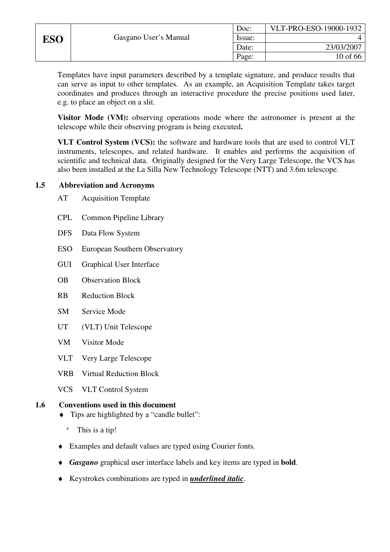|--|

Templates have input parameters described by a template signature, and produce results that can serve as input to other templates. As an example, an Acquisition Template takes target coordinates and produces through an interactive procedure the precise positions used later, e.g. to place an object on a slit.

**Visitor Mode (VM):** observing operations mode where the astronomer is present at the telescope while their observing program is being executed**.** 

**VLT Control System (VCS):** the software and hardware tools that are used to control VLT instruments, telescopes, and related hardware. It enables and performs the acquisition of scientific and technical data. Originally designed for the Very Large Telescope, the VCS has also been installed at the La Silla New Technology Telescope (NTT) and 3.6m telescope.

### **1.5 Abbreviation and Acronyms**

- AT Acquisition Template
- CPL Common Pipeline Library
- DFS Data Flow System
- ESO European Southern Observatory
- GUI Graphical User Interface
- OB Observation Block
- RB Reduction Block
- SM Service Mode
- UT (VLT) Unit Telescope
- VM Visitor Mode
- VLT Very Large Telescope
- VRB Virtual Reduction Block
- VCS VLT Control System

# **1.6 Conventions used in this document**

- ♦ Tips are highlighted by a "candle bullet":
	- ' This is a tip!
- ♦ Examples and default values are typed using Courier fonts*.*
- ♦ *Gasgano* graphical user interface labels and key items are typed in **bold**.
- ♦ Keystrokes combinations are typed in *underlined italic*.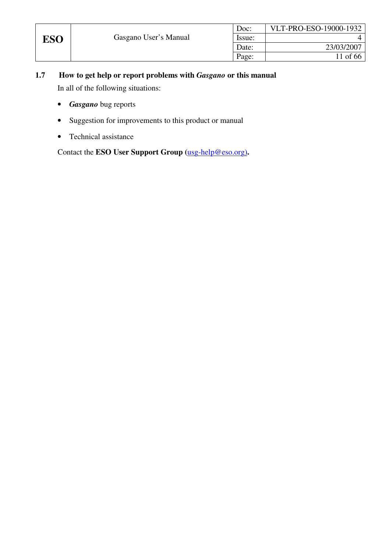|     |                       | Doc:   | VLT-PRO-ESO-19000-1932 |
|-----|-----------------------|--------|------------------------|
| ESO | Gasgano User's Manual | Issue: |                        |
|     |                       | Date:  | 23/03/2007             |
|     |                       | Page:  | 11 of 66               |

- **1.7 How to get help or report problems with** *Gasgano* **or this manual**  In all of the following situations:
	- *Gasgano* bug reports
	- Suggestion for improvements to this product or manual
	- Technical assistance

Contact the **ESO User Support Group (**usg-help@eso.org)**.**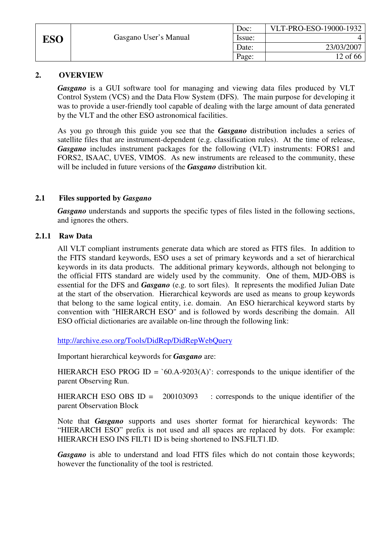|            |                       | Doc:   | VLT-PRO-ESO-19000-1932 |
|------------|-----------------------|--------|------------------------|
| <b>ESO</b> | Gasgano User's Manual | Issue: |                        |
|            |                       | Date:  | 23/03/2007             |
|            |                       | Page:  | 12 of 66               |

# **2. OVERVIEW**

*Gasgano* is a GUI software tool for managing and viewing data files produced by VLT Control System (VCS) and the Data Flow System (DFS). The main purpose for developing it was to provide a user-friendly tool capable of dealing with the large amount of data generated by the VLT and the other ESO astronomical facilities.

As you go through this guide you see that the *Gasgano* distribution includes a series of satellite files that are instrument-dependent (e.g. classification rules). At the time of release, *Gasgano* includes instrument packages for the following (VLT) instruments: FORS1 and FORS2, ISAAC, UVES, VIMOS. As new instruments are released to the community, these will be included in future versions of the *Gasgano* distribution kit.

# **2.1 Files supported by** *Gasgano*

*Gasgano* understands and supports the specific types of files listed in the following sections, and ignores the others.

### **2.1.1 Raw Data**

All VLT compliant instruments generate data which are stored as FITS files. In addition to the FITS standard keywords, ESO uses a set of primary keywords and a set of hierarchical keywords in its data products. The additional primary keywords, although not belonging to the official FITS standard are widely used by the community. One of them, MJD-OBS is essential for the DFS and *Gasgano* (e.g. to sort files). It represents the modified Julian Date at the start of the observation. Hierarchical keywords are used as means to group keywords that belong to the same logical entity, i.e. domain. An ESO hierarchical keyword starts by convention with "HIERARCH ESO" and is followed by words describing the domain. All ESO official dictionaries are available on-line through the following link:

http://archive.eso.org/Tools/DidRep/DidRepWebQuery

Important hierarchical keywords for *Gasgano* are:

HIERARCH ESO PROG ID =  $60.A-9203(A)$ : corresponds to the unique identifier of the parent Observing Run.

HIERARCH ESO OBS ID =  $200103093$  : corresponds to the unique identifier of the parent Observation Block

Note that *Gasgano* supports and uses shorter format for hierarchical keywords: The "HIERARCH ESO" prefix is not used and all spaces are replaced by dots. For example: HIERARCH ESO INS FILT1 ID is being shortened to INS.FILT1.ID.

Gasgano is able to understand and load FITS files which do not contain those keywords; however the functionality of the tool is restricted.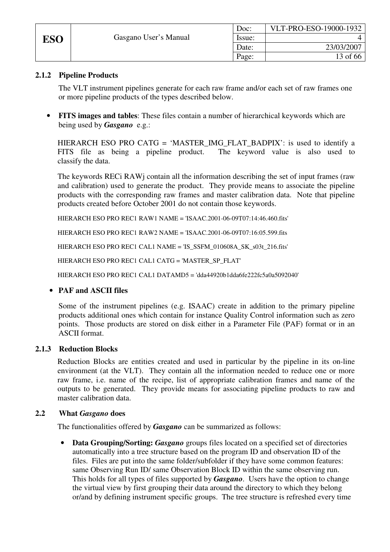|            |                       | Doc:   | VLT-PRO-ESO-19000-1932 |
|------------|-----------------------|--------|------------------------|
| <b>ESO</b> | Gasgano User's Manual | Issue: |                        |
|            |                       | Date:  | 23/03/2007             |
|            |                       | Page:  | 13 of 66               |

# **2.1.2 Pipeline Products**

The VLT instrument pipelines generate for each raw frame and/or each set of raw frames one or more pipeline products of the types described below.

• **FITS images and tables**: These files contain a number of hierarchical keywords which are being used by *Gasgano* e.g.:

HIERARCH ESO PRO CATG = 'MASTER\_IMG\_FLAT\_BADPIX': is used to identify a FITS file as being a pipeline product. The keyword value is also used to classify the data.

The keywords RECi RAWj contain all the information describing the set of input frames (raw and calibration) used to generate the product. They provide means to associate the pipeline products with the corresponding raw frames and master calibration data. Note that pipeline products created before October 2001 do not contain those keywords.

HIERARCH ESO PRO REC1 RAW1 NAME = 'ISAAC.2001-06-09T07:14:46.460.fits'

HIERARCH ESO PRO REC1 RAW2 NAME = 'ISAAC.2001-06-09T07:16:05.599.fits

HIERARCH ESO PRO REC1 CAL1 NAME = 'IS\_SSFM\_010608A\_SK\_s03t\_216.fits'

HIERARCH ESO PRO REC1 CAL1 CATG = 'MASTER\_SP\_FLAT'

HIERARCH ESO PRO REC1 CAL1 DATAMD5 = 'dda44920b1dda6fe222fc5a0a5092040'

# • **PAF and ASCII files**

Some of the instrument pipelines (e.g. ISAAC) create in addition to the primary pipeline products additional ones which contain for instance Quality Control information such as zero points. Those products are stored on disk either in a Parameter File (PAF) format or in an ASCII format.

# **2.1.3 Reduction Blocks**

Reduction Blocks are entities created and used in particular by the pipeline in its on-line environment (at the VLT). They contain all the information needed to reduce one or more raw frame, i.e. name of the recipe, list of appropriate calibration frames and name of the outputs to be generated. They provide means for associating pipeline products to raw and master calibration data.

#### **2.2 What** *Gasgano* **does**

The functionalities offered by *Gasgano* can be summarized as follows:

• **Data Grouping/Sorting:** *Gasgano* groups files located on a specified set of directories automatically into a tree structure based on the program ID and observation ID of the files. Files are put into the same folder/subfolder if they have some common features: same Observing Run ID/ same Observation Block ID within the same observing run. This holds for all types of files supported by *Gasgano*. Users have the option to change the virtual view by first grouping their data around the directory to which they belong or/and by defining instrument specific groups. The tree structure is refreshed every time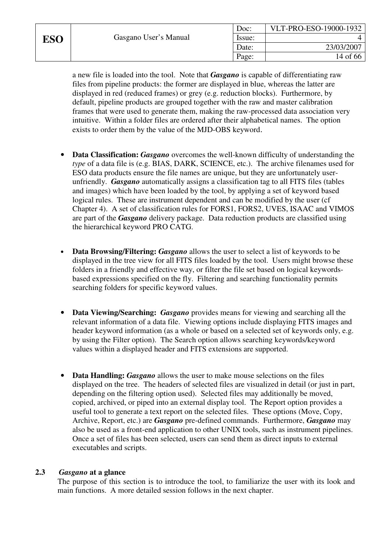a new file is loaded into the tool. Note that *Gasgano* is capable of differentiating raw files from pipeline products: the former are displayed in blue, whereas the latter are displayed in red (reduced frames) or grey (e.g. reduction blocks). Furthermore, by default, pipeline products are grouped together with the raw and master calibration frames that were used to generate them, making the raw-processed data association very intuitive. Within a folder files are ordered after their alphabetical names. The option exists to order them by the value of the MJD-OBS keyword.

- **Data Classification:** *Gasgano* overcomes the well-known difficulty of understanding the *type* of a data file is (e.g. BIAS, DARK, SCIENCE, etc.). The archive filenames used for ESO data products ensure the file names are unique, but they are unfortunately userunfriendly. *Gasgano* automatically assigns a classification tag to all FITS files (tables and images) which have been loaded by the tool, by applying a set of keyword based logical rules. These are instrument dependent and can be modified by the user (cf Chapter 4). A set of classification rules for FORS1, FORS2, UVES, ISAAC and VIMOS are part of the *Gasgano* delivery package. Data reduction products are classified using the hierarchical keyword PRO CATG.
- **Data Browsing/Filtering:** *Gasgano* allows the user to select a list of keywords to be displayed in the tree view for all FITS files loaded by the tool. Users might browse these folders in a friendly and effective way, or filter the file set based on logical keywordsbased expressions specified on the fly. Filtering and searching functionality permits searching folders for specific keyword values.
- **Data Viewing/Searching:** *Gasgano* provides means for viewing and searching all the relevant information of a data file. Viewing options include displaying FITS images and header keyword information (as a whole or based on a selected set of keywords only, e.g. by using the Filter option). The Search option allows searching keywords/keyword values within a displayed header and FITS extensions are supported.
- **Data Handling:** *Gasgano* allows the user to make mouse selections on the files displayed on the tree. The headers of selected files are visualized in detail (or just in part, depending on the filtering option used). Selected files may additionally be moved, copied, archived, or piped into an external display tool. The Report option provides a useful tool to generate a text report on the selected files. These options (Move, Copy, Archive, Report, etc.) are *Gasgano* pre-defined commands. Furthermore, *Gasgano* may also be used as a front-end application to other UNIX tools, such as instrument pipelines. Once a set of files has been selected, users can send them as direct inputs to external executables and scripts.

# **2.3** *Gasgano* **at a glance**

The purpose of this section is to introduce the tool, to familiarize the user with its look and main functions. A more detailed session follows in the next chapter.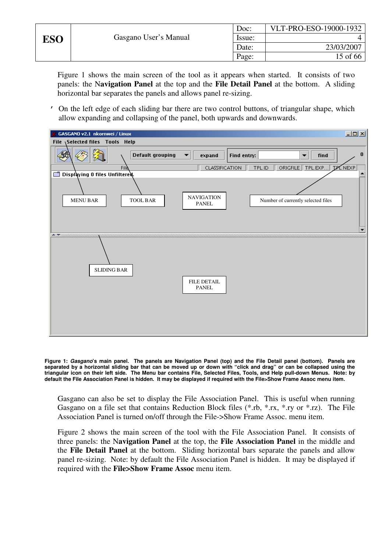|     |                       | Doc:   | VLT-PRO-ESO-19000-1932 |
|-----|-----------------------|--------|------------------------|
| ESO | Gasgano User's Manual | Issue: |                        |
|     |                       | Date:  | 23/03/2007             |
|     |                       | Page:  | $15$ of 66             |

Figure 1 shows the main screen of the tool as it appears when started. It consists of two panels: the N**avigation Panel** at the top and the **File Detail Panel** at the bottom. A sliding horizontal bar separates the panels and allows panel re-sizing.

' On the left edge of each sliding bar there are two control buttons, of triangular shape, which allow expanding and collapsing of the panel, both upwards and downwards.



**Figure 1:** *Gasgano***'s main panel. The panels are Navigation Panel (top) and the File Detail panel (bottom). Panels are separated by a horizontal sliding bar that can be moved up or down with "click and drag" or can be collapsed using the triangular icon on their left side. The Menu bar contains File, Selected Files, Tools, and Help pull-down Menus. Note: by default the File Association Panel is hidden. It may be displayed if required with the File>Show Frame Assoc menu item.** 

Gasgano can also be set to display the File Association Panel. This is useful when running Gasgano on a file set that contains Reduction Block files (\*.rb, \*.rx, \*.ry or \*.rz). The File Association Panel is turned on/off through the File->Show Frame Assoc. menu item.

Figure 2 shows the main screen of the tool with the File Association Panel. It consists of three panels: the N**avigation Panel** at the top, the **File Association Panel** in the middle and the **File Detail Panel** at the bottom. Sliding horizontal bars separate the panels and allow panel re-sizing. Note: by default the File Association Panel is hidden. It may be displayed if required with the **File>Show Frame Assoc** menu item.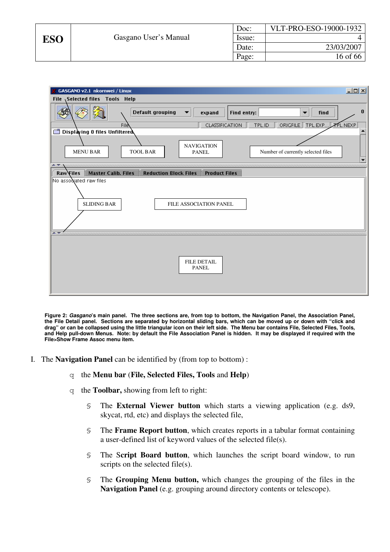|     |                       | Doc:   | VLT-PRO-ESO-19000-1932 |
|-----|-----------------------|--------|------------------------|
| ESO | Gasgano User's Manual | Issue: |                        |
|     |                       | Date:  | 23/03/2007             |
|     |                       | Page:  | 16 of 66               |



**Figure 2:** *Gasgano***'s main panel. The three sections are, from top to bottom, the Navigation Panel, the Association Panel, the File Detail panel. Sections are separated by horizontal sliding bars, which can be moved up or down with "click and drag" or can be collapsed using the little triangular icon on their left side. The Menu bar contains File, Selected Files, Tools, and Help pull-down Menus. Note: by default the File Association Panel is hidden. It may be displayed if required with the File>Show Frame Assoc menu item.** 

- I. The **Navigation Panel** can be identified by (from top to bottom) :
	- q the **Menu bar** (**File, Selected Files, Tools** and **Help**)
	- q the **Toolbar,** showing from left to right:
		- § The **External Viewer button** which starts a viewing application (e.g. ds9, skycat, rtd, etc) and displays the selected file,
		- § The **Frame Report button**, which creates reports in a tabular format containing a user-defined list of keyword values of the selected file(s).
		- § The S**cript Board button**, which launches the script board window, to run scripts on the selected file(s).
		- § The **Grouping Menu button,** which changes the grouping of the files in the **Navigation Panel** (e.g. grouping around directory contents or telescope).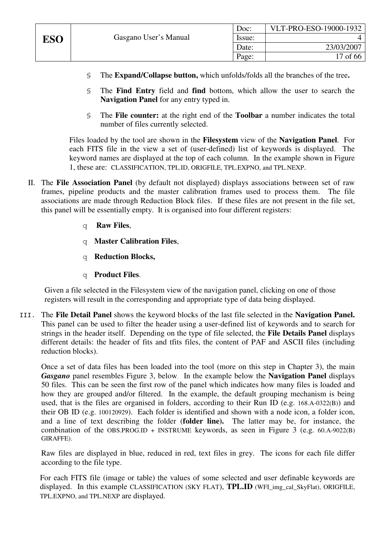- § The **Expand/Collapse button,** which unfolds/folds all the branches of the tree**.**
- § The **Find Entry** field and **find** bottom, which allow the user to search the **Navigation Panel** for any entry typed in.
- § The **File counter:** at the right end of the **Toolbar** a number indicates the total number of files currently selected.

Files loaded by the tool are shown in the **Filesystem** view of the **Navigation Panel**. For each FITS file in the view a set of (user-defined) list of keywords is displayed. The keyword names are displayed at the top of each column. In the example shown in Figure 1, these are: CLASSIFICATION, TPL.ID, ORIGFILE, TPL.EXPNO, and TPL.NEXP.

- II. The **File Association Panel** (by default not displayed) displays associations between set of raw frames, pipeline products and the master calibration frames used to process them. The file associations are made through Reduction Block files. If these files are not present in the file set, this panel will be essentially empty. It is organised into four different registers:
	- q **Raw Files**,
	- q **Master Calibration Files**,
	- q **Reduction Blocks,**
	- q **Product Files**.

Given a file selected in the Filesystem view of the navigation panel, clicking on one of those registers will result in the corresponding and appropriate type of data being displayed.

III. The **File Detail Panel** shows the keyword blocks of the last file selected in the **Navigation Panel.**  This panel can be used to filter the header using a user-defined list of keywords and to search for strings in the header itself. Depending on the type of file selected, the **File Details Panel** displays different details: the header of fits and tfits files, the content of PAF and ASCII files (including reduction blocks).

Once a set of data files has been loaded into the tool (more on this step in Chapter 3), the main *Gasgano* panel resembles Figure 3, below. In the example below the **Navigation Panel** displays 50 files. This can be seen the first row of the panel which indicates how many files is loaded and how they are grouped and/or filtered. In the example, the default grouping mechanism is being used, that is the files are organised in folders, according to their Run ID (e.g. 168.A-0322(B)) and their OB ID (e.g. 100120929). Each folder is identified and shown with a node icon, a folder icon, and a line of text describing the folder (**folder line).** The latter may be, for instance, the combination of the OBS.PROG.ID + INSTRUME keywords, as seen in Figure 3 (e.g. 60.A-9022(B) GIRAFFE).

Raw files are displayed in blue, reduced in red, text files in grey. The icons for each file differ according to the file type.

For each FITS file (image or table) the values of some selected and user definable keywords are displayed. In this example CLASSIFICATION (SKY FLAT), **TPL.ID** (WFI\_img\_cal\_SkyFlat), ORIGFILE, TPL.EXPNO, and TPL.NEXP are displayed.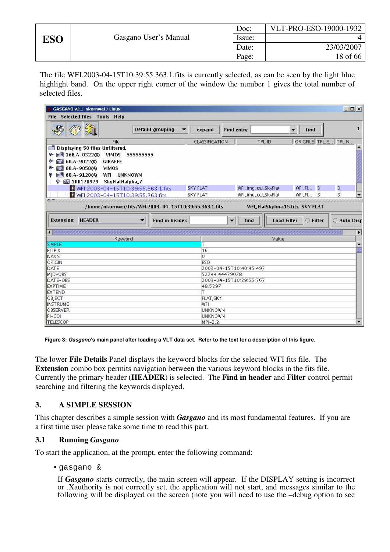| Doc:   | VLT-PRO-ESO-19000-1932 |
|--------|------------------------|
| Issue: |                        |
| Date:  | 23/03/2007             |
| Page:  | 18 of 66               |

The file WFI.2003-04-15T10:39:55.363.1.fits is currently selected, as can be seen by the light blue highlight band. On the upper right corner of the window the number 1 gives the total number of selected files.

| GASGANO v2.1 nkornwei / Linux                                                                                                                                                                |                                                                                                                           | $ \Box$ $\times$ |  |
|----------------------------------------------------------------------------------------------------------------------------------------------------------------------------------------------|---------------------------------------------------------------------------------------------------------------------------|------------------|--|
| <b>File Selected files Tools Help</b>                                                                                                                                                        |                                                                                                                           |                  |  |
| Default grouping                                                                                                                                                                             | Find entry:<br>expand<br>$\blacktriangledown$<br>find<br>$\overline{\phantom{a}}$                                         | 1                |  |
| File                                                                                                                                                                                         | ORIGFILE TPL.E TPL.N<br>TPL.ID<br>CLASSIFICATION                                                                          |                  |  |
| Displaying 50 files Unfiltered.<br>$pi$ 168.A-0322 $(B)$ VIMOS<br>$\bullet$<br>555555555<br>pid 60.A-9022 (B) GIRAFFE<br>۰<br>pid 60.A-9050(4) VIMOS<br>۰<br>同 60.A-9120(A) WFI UNKNOWN<br>۰ |                                                                                                                           |                  |  |
| © 5 100120929 SkyFlatHalpha_7<br>WFI.2003-04-15T10:39:55.363.1.fits<br>WFI.2003-04-15T10:39:55.363.fits                                                                                      | <b>SKY FLAT</b><br>WFI_img_cal_SkyFlat<br>$WFL$ FL $\,$ 3<br>3<br>3<br><b>SKY FLAT</b><br>WFI_img_cal_SkyFlat<br>WFI_FI 3 |                  |  |
| A <b>V</b> Harang<br>/home/nkornwei/fits/WFI.2003-04-15T10:39:55.363.1.fits                                                                                                                  | <br>WFI_FlatSkyIma.15.fits SKY FLAT                                                                                       |                  |  |
| <b>Extension: HEADER</b><br>Find in header:                                                                                                                                                  | C Filter<br><b>Load Filter</b><br>find<br>$\overline{\phantom{a}}$                                                        | Auto Dist        |  |
| Keyword                                                                                                                                                                                      | Value                                                                                                                     | $\cdot$          |  |
| <b>SIMPLE</b>                                                                                                                                                                                | T                                                                                                                         | $\blacktriangle$ |  |
| BITPIX                                                                                                                                                                                       | 16                                                                                                                        |                  |  |
| <b>NAXIS</b>                                                                                                                                                                                 | Ő                                                                                                                         |                  |  |
| ORIGIN                                                                                                                                                                                       | ESO.                                                                                                                      |                  |  |
| DATE<br>2003-04-15T10:40:45.493                                                                                                                                                              |                                                                                                                           |                  |  |
| MID-OBS                                                                                                                                                                                      | 52744.44439078                                                                                                            |                  |  |
| DATE-OBS                                                                                                                                                                                     | 2003-04-15T10:39:55.363                                                                                                   |                  |  |
| EXPTIME<br><b>EXTEND</b>                                                                                                                                                                     | 48.5397                                                                                                                   |                  |  |
|                                                                                                                                                                                              | т                                                                                                                         |                  |  |
|                                                                                                                                                                                              |                                                                                                                           |                  |  |
| OBIECT                                                                                                                                                                                       | FLAT, SKY                                                                                                                 |                  |  |
| <b>INSTRUME</b>                                                                                                                                                                              | WFI                                                                                                                       |                  |  |
| OBSERVER<br>PI-COI                                                                                                                                                                           | <b>UNKNOWN</b><br><b>UNKNOWN</b>                                                                                          |                  |  |

**Figure 3:** *Gasgano***'s main panel after loading a VLT data set. Refer to the text for a description of this figure.** 

The lower **File Details** Panel displays the keyword blocks for the selected WFI fits file. The **Extension** combo box permits navigation between the various keyword blocks in the fits file. Currently the primary header (**HEADER**) is selected. The **Find in header** and **Filter** control permit searching and filtering the keywords displayed.

#### **3. A SIMPLE SESSION**

This chapter describes a simple session with *Gasgano* and its most fundamental features. If you are a first time user please take some time to read this part.

#### **3.1 Running** *Gasgano*

To start the application, at the prompt, enter the following command:

• gasgano &

If *Gasgano* starts correctly, the main screen will appear. If the DISPLAY setting is incorrect or .Xauthority is not correctly set, the application will not start, and messages similar to the following will be displayed on the screen (note you will need to use the –debug option to see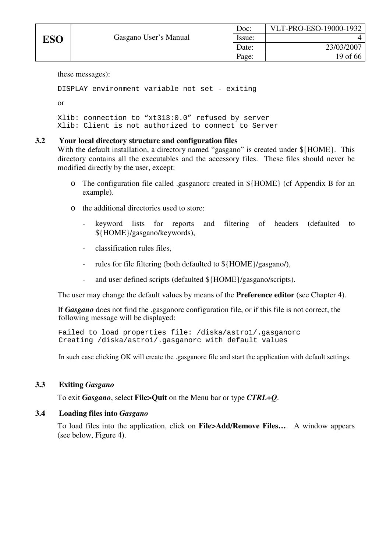these messages):

```
DISPLAY environment variable not set - exiting
```
or

```
Xlib: connection to "xt313:0.0" refused by server 
Xlib: Client is not authorized to connect to Server
```
# **3.2 Your local directory structure and configuration files**

With the default installation, a directory named "gasgano" is created under  $\{HOME\}$ . This directory contains all the executables and the accessory files. These files should never be modified directly by the user, except:

- o The configuration file called .gasganorc created in \${HOME} (cf Appendix B for an example).
- o the additional directories used to store:
	- keyword lists for reports and filtering of headers (defaulted to \${HOME}/gasgano/keywords),
	- classification rules files,
	- rules for file filtering (both defaulted to  $\frac{1}{2}$ HOME}/gasgano/),
	- and user defined scripts (defaulted  $\{HOME\}/gasgano/scripts)$ .

The user may change the default values by means of the **Preference editor** (see Chapter 4).

 If *Gasgano* does not find the .gasganorc configuration file, or if this file is not correct, the following message will be displayed:

 Failed to load properties file: /diska/astro1/.gasganorc Creating /diska/astro1/.gasganorc with default values

In such case clicking OK will create the .gasganorc file and start the application with default settings.

#### **3.3 Exiting** *Gasgano*

To exit *Gasgano*, select **File>Quit** on the Menu bar or type *CTRL+Q*.

#### **3.4 Loading files into** *Gasgano*

To load files into the application, click on **File>Add/Remove Files…**. A window appears (see below, Figure 4).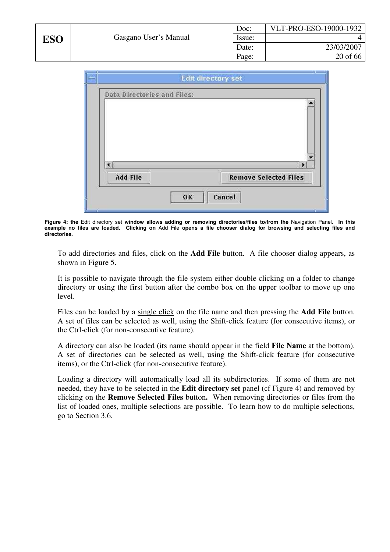

|                                                 | v            |
|-------------------------------------------------|--------------|
| ∢                                               | $\mathbf{E}$ |
| <b>Remove Selected Files</b><br><b>Add File</b> |              |

**Figure 4: the** Edit directory set **window allows adding or removing directories/files to/from the** Navigation Panel. **In this example no files are loaded. Clicking on** Add File **opens a file chooser dialog for browsing and selecting files and directories.** 

To add directories and files, click on the **Add File** button. A file chooser dialog appears, as shown in Figure 5.

It is possible to navigate through the file system either double clicking on a folder to change directory or using the first button after the combo box on the upper toolbar to move up one level.

Files can be loaded by a single click on the file name and then pressing the **Add File** button. A set of files can be selected as well, using the Shift-click feature (for consecutive items), or the Ctrl-click (for non-consecutive feature).

A directory can also be loaded (its name should appear in the field **File Name** at the bottom). A set of directories can be selected as well, using the Shift-click feature (for consecutive items), or the Ctrl-click (for non-consecutive feature).

Loading a directory will automatically load all its subdirectories. If some of them are not needed, they have to be selected in the **Edit directory set** panel (cf Figure 4) and removed by clicking on the **Remove Selected Files** button**.** When removing directories or files from the list of loaded ones, multiple selections are possible. To learn how to do multiple selections, go to Section 3.6.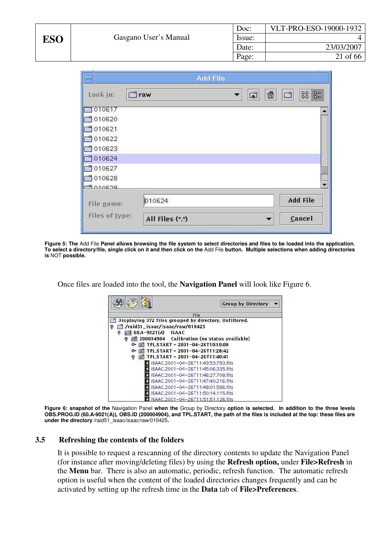|            |                |                       | Doc:              | VLT-PRO-ESO-19000-1932 |
|------------|----------------|-----------------------|-------------------|------------------------|
| <b>ESO</b> |                | Gasgano User's Manual | Issue:            | 4                      |
|            |                |                       | Date:             | 23/03/2007             |
|            |                |                       | Page:             | 21 of 66               |
|            |                |                       |                   |                        |
|            | $-1$           | <b>Add File</b>       |                   |                        |
|            | Look in:       | $\Box$ raw            | $\mathbf{E}$<br>▼ | -8 85<br>命<br>$\Box$   |
|            | 7010617        |                       |                   |                        |
|            | 1010620        |                       |                   |                        |
|            | 1010621        |                       |                   |                        |
|            | 1010622        |                       |                   |                        |
|            | 1010623        |                       |                   |                        |
|            | 1010624        |                       |                   |                        |
|            | 1010627        |                       |                   |                        |
|            | 1010628        |                       |                   |                        |
|            | C20100         |                       |                   | ۳                      |
|            | File name:     | 010624                |                   | <b>Add File</b>        |
|            | Files of type: | All Files (*.*)       |                   | ۷<br>Cancel            |

**Figure 5: The** Add File **Panel allows browsing the file system to select directories and files to be loaded into the application. To select a directory/file, single click on it and then click on the** Add File **button. Multiple selections when adding directories is** NOT **possible.** 

Once files are loaded into the tool, the **Navigation Panel** will look like Figure 6.

|                                     | <b>Group by Directory</b>                                      |
|-------------------------------------|----------------------------------------------------------------|
|                                     |                                                                |
|                                     | File<br>Displaying 372 files grouped by directory. Unfiltered. |
|                                     |                                                                |
| raid51_isaac/isaac/raw/010425/<br>ø |                                                                |
| ங் 80.A-9021(A) ISAAC<br>o          |                                                                |
|                                     | 酮 200004904 Calibration (no status available)                  |
| o-                                  | $\Box$ TPL.START = 2001-04-26T10:10:08                         |
| ⊙                                   | <b>■ TPL.START = 2001-04-26T11:28:42</b>                       |
|                                     | TPL.START = 2001-04-26T11:40:41                                |
|                                     | ISAAC.2001-04-26T11:43:53.793.fits                             |
|                                     | ISAAC.2001-04-26T11:45:06.335.fits                             |
|                                     | ISAAC.2001-04-26T11:46:27.708.fits                             |
|                                     | ISAAC.2001-04-26T11:47:40.216.fits                             |
|                                     | ISAAC.2001-04-26T11:49:01.586.fits                             |
|                                     |                                                                |
|                                     | ISAAC.2001-04-26T11:50:14.115.fits                             |
|                                     | ISAAC.2001-04-26T11:51:51.126.fifs                             |

**Figure 6: snapshot of the** Navigation Panel **when the** Group by Directory **option is selected. In addition to the three levels OBS.PROG.ID (60.A-9021(A)), OBS.ID (200004904), and TPL.START, the path of the files is included at the top: these files are under the directory /**raid51\_isaac/isaac/raw/010425**.** 

#### **3.5 Refreshing the contents of the folders**

It is possible to request a rescanning of the directory contents to update the Navigation Panel (for instance after moving/deleting files) by using the **Refresh option,** under **File>Refresh** in the **Menu** bar. There is also an automatic, periodic, refresh function. The automatic refresh option is useful when the content of the loaded directories changes frequently and can be activated by setting up the refresh time in the **Data** tab of **File>Preferences**.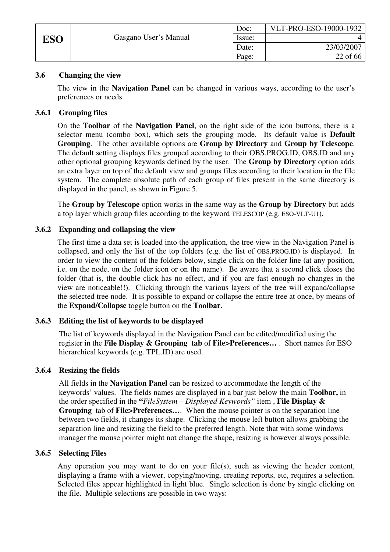|            |                       | Doc:   | VLT-PRO-ESO-19000-1932 |
|------------|-----------------------|--------|------------------------|
| <b>ESO</b> | Gasgano User's Manual | Issue: |                        |
|            |                       | Date:  | 23/03/2007             |
|            |                       | Page:  | 22 of 66               |

# **3.6 Changing the view**

The view in the **Navigation Panel** can be changed in various ways, according to the user's preferences or needs.

# **3.6.1 Grouping files**

On the **Toolbar** of the **Navigation Panel**, on the right side of the icon buttons, there is a selector menu (combo box), which sets the grouping mode. Its default value is **Default Grouping**. The other available options are **Group by Directory** and **Group by Telescope**. The default setting displays files grouped according to their OBS.PROG.ID, OBS.ID and any other optional grouping keywords defined by the user. The **Group by Directory** option adds an extra layer on top of the default view and groups files according to their location in the file system. The complete absolute path of each group of files present in the same directory is displayed in the panel, as shown in Figure 5.

The **Group by Telescope** option works in the same way as the **Group by Directory** but adds a top layer which group files according to the keyword TELESCOP (e.g. ESO-VLT-U1).

### **3.6.2 Expanding and collapsing the view**

The first time a data set is loaded into the application, the tree view in the Navigation Panel is collapsed, and only the list of the top folders (e.g. the list of OBS.PROG.ID) is displayed. In order to view the content of the folders below, single click on the folder line (at any position, i.e. on the node, on the folder icon or on the name). Be aware that a second click closes the folder (that is, the double click has no effect, and if you are fast enough no changes in the view are noticeable!!). Clicking through the various layers of the tree will expand/collapse the selected tree node. It is possible to expand or collapse the entire tree at once, by means of the **Expand/Collapse** toggle button on the **Toolbar**.

#### **3.6.3 Editing the list of keywords to be displayed**

The list of keywords displayed in the Navigation Panel can be edited/modified using the register in the **File Display & Grouping tab** of **File>Preferences…** . Short names for ESO hierarchical keywords (e.g. TPL.ID) are used.

#### **3.6.4 Resizing the fields**

All fields in the **Navigation Panel** can be resized to accommodate the length of the keywords' values. The fields names are displayed in a bar just below the main **Toolbar,** in the order specified in the **"***FileSystem – Displayed Keywords"* item , **File Display & Grouping** tab of **File>Preferences…**. When the mouse pointer is on the separation line between two fields, it changes its shape. Clicking the mouse left button allows grabbing the separation line and resizing the field to the preferred length. Note that with some windows manager the mouse pointer might not change the shape, resizing is however always possible.

#### **3.6.5 Selecting Files**

Any operation you may want to do on your file(s), such as viewing the header content, displaying a frame with a viewer, copying/moving, creating reports, etc, requires a selection. Selected files appear highlighted in light blue. Single selection is done by single clicking on the file. Multiple selections are possible in two ways: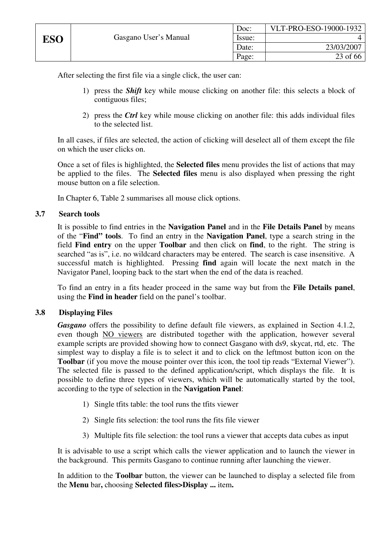After selecting the first file via a single click, the user can:

- 1) press the *Shift* key while mouse clicking on another file: this selects a block of contiguous files;
- 2) press the *Ctrl* key while mouse clicking on another file: this adds individual files to the selected list.

In all cases, if files are selected, the action of clicking will deselect all of them except the file on which the user clicks on.

Once a set of files is highlighted, the **Selected files** menu provides the list of actions that may be applied to the files. The **Selected files** menu is also displayed when pressing the right mouse button on a file selection.

In Chapter 6, Table 2 summarises all mouse click options.

#### **3.7 Search tools**

It is possible to find entries in the **Navigation Panel** and in the **File Details Panel** by means of the "**Find" tools**. To find an entry in the **Navigation Panel**, type a search string in the field **Find entry** on the upper **Toolbar** and then click on **find**, to the right. The string is searched "as is", i.e. no wildcard characters may be entered. The search is case insensitive. A successful match is highlighted. Pressing **find** again will locate the next match in the Navigator Panel, looping back to the start when the end of the data is reached.

To find an entry in a fits header proceed in the same way but from the **File Details panel**, using the **Find in header** field on the panel's toolbar.

#### **3.8 Displaying Files**

*Gasgano* offers the possibility to define default file viewers, as explained in Section 4.1.2, even though NO viewers are distributed together with the application, however several example scripts are provided showing how to connect Gasgano with ds9, skycat, rtd, etc. The simplest way to display a file is to select it and to click on the leftmost button icon on the **Toolbar** (if you move the mouse pointer over this icon, the tool tip reads "External Viewer"). The selected file is passed to the defined application/script, which displays the file. It is possible to define three types of viewers, which will be automatically started by the tool, according to the type of selection in the **Navigation Panel**:

- 1) Single tfits table: the tool runs the tfits viewer
- 2) Single fits selection: the tool runs the fits file viewer
- 3) Multiple fits file selection: the tool runs a viewer that accepts data cubes as input

It is advisable to use a script which calls the viewer application and to launch the viewer in the background. This permits Gasgano to continue running after launching the viewer.

In addition to the **Toolbar** button, the viewer can be launched to display a selected file from the **Menu** bar**,** choosing **Selected files>Display ...** item**.**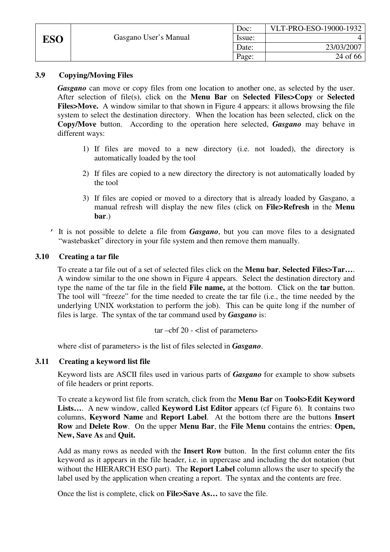|            |                       | Doc:   | VLT-PRO-ESO-19000-1932 |
|------------|-----------------------|--------|------------------------|
| <b>ESO</b> | Gasgano User's Manual | Issue: |                        |
|            |                       | Date:  | 23/03/2007             |
|            |                       | Page:  | 24 of 66               |

# **3.9 Copying/Moving Files**

*Gasgano* can move or copy files from one location to another one, as selected by the user. After selection of file(s), click on the **Menu Bar** on **Selected Files>Copy** or **Selected Files>Move.** A window similar to that shown in Figure 4 appears: it allows browsing the file system to select the destination directory. When the location has been selected, click on the **Copy/Move** button. According to the operation here selected, *Gasgano* may behave in different ways:

- 1) If files are moved to a new directory (i.e. not loaded), the directory is automatically loaded by the tool
- 2) If files are copied to a new directory the directory is not automatically loaded by the tool
- 3) If files are copied or moved to a directory that is already loaded by Gasgano, a manual refresh will display the new files (click on **File>Refresh** in the **Menu bar**.)
- ' It is not possible to delete a file from *Gasgano*, but you can move files to a designated "wastebasket" directory in your file system and then remove them manually.

### **3.10 Creating a tar file**

To create a tar file out of a set of selected files click on the **Menu bar**, **Selected Files>Tar…**. A window similar to the one shown in Figure 4 appears. Select the destination directory and type the name of the tar file in the field **File name,** at the bottom. Click on the **tar** button. The tool will "freeze" for the time needed to create the tar file (i.e., the time needed by the underlying UNIX workstation to perform the job). This can be quite long if the number of files is large. The syntax of the tar command used by *Gasgano* is:

 $\ar - \ch 20$  -  $\operatorname{clist}$  of parameters>

where <list of parameters> is the list of files selected in *Gasgano*.

# **3.11 Creating a keyword list file**

Keyword lists are ASCII files used in various parts of *Gasgano* for example to show subsets of file headers or print reports.

To create a keyword list file from scratch, click from the **Menu Bar** on **Tools>Edit Keyword**  Lists.... A new window, called **Keyword List Editor** appears (cf Figure 6). It contains two columns, **Keyword Name** and **Report Label**. At the bottom there are the buttons **Insert Row** and **Delete Row**. On the upper **Menu Bar**, the **File Menu** contains the entries: **Open, New, Save As** and **Quit.** 

Add as many rows as needed with the **Insert Row** button. In the first column enter the fits keyword as it appears in the file header, i.e. in uppercase and including the dot notation (but without the HIERARCH ESO part). The **Report Label** column allows the user to specify the label used by the application when creating a report. The syntax and the contents are free.

Once the list is complete, click on **File>Save As…** to save the file.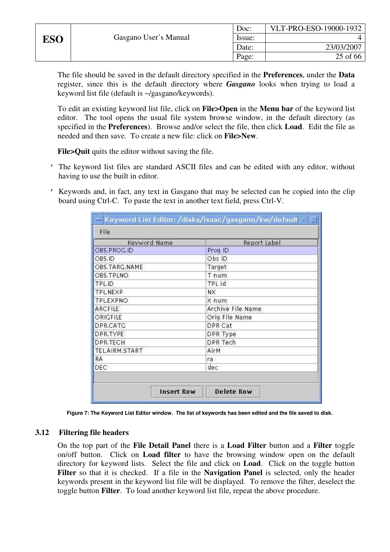The file should be saved in the default directory specified in the **Preferences**, under the **Data** register, since this is the default directory where *Gasgano* looks when trying to load a keyword list file (default is ~/gasgano/keywords).

To edit an existing keyword list file, click on **File>Open** in the **Menu bar** of the keyword list editor. The tool opens the usual file system browse window, in the default directory (as specified in the **Preferences**). Browse and/or select the file, then click **Load**. Edit the file as needed and then save. To create a new file: click on **File>New**.

**File>Quit** quits the editor without saving the file.

- ' The keyword list files are standard ASCII files and can be edited with any editor, without having to use the built in editor.
- ' Keywords and, in fact, any text in Gasgano that may be selected can be copied into the clip board using Ctrl-C. To paste the text in another text field, press Ctrl-V.

| Keyword Name    | Report Label      |
|-----------------|-------------------|
| OBS.PROG.ID     | Prog ID           |
| OBS.ID          | Obs ID            |
| OBS.TARG.NAME   | Target            |
| OBS.TPLNO       | T num             |
| TPL.ID          | TPL id            |
| TPL.NEXP        | NX.               |
| <b>TPLEXPNO</b> | X num             |
| ARCFILE         | Archive File Name |
| ORIGFILE        | Orig File Name    |
| DPR.CATG        | DPR Cat           |
| DPR.TYPE        | DPR Type          |
| DPR.TECH        | DPR Tech          |
| TEL.AIRM.START  | AirM              |
| <b>RA</b>       | ra.               |
| DEC-            | dec               |

**Figure 7: The Keyword List Editor window. The list of keywords has been edited and the file saved to disk.** 

#### **3.12 Filtering file headers**

On the top part of the **File Detail Panel** there is a **Load Filter** button and a **Filter** toggle on/off button. Click on **Load filter** to have the browsing window open on the default directory for keyword lists. Select the file and click on **Load**. Click on the toggle button **Filter** so that it is checked. If a file in the **Navigation Panel** is selected, only the header keywords present in the keyword list file will be displayed. To remove the filter, deselect the toggle button **Filter**. To load another keyword list file, repeat the above procedure.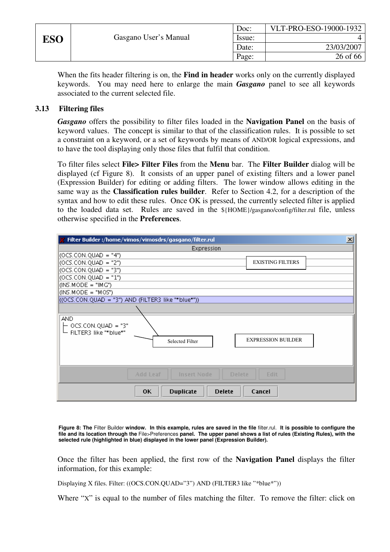| יי |  |
|----|--|
|----|--|

When the fits header filtering is on, the **Find in header** works only on the currently displayed keywords. You may need here to enlarge the main *Gasgano* panel to see all keywords associated to the current selected file.

# **3.13 Filtering files**

*Gasgano* offers the possibility to filter files loaded in the **Navigation Panel** on the basis of keyword values. The concept is similar to that of the classification rules. It is possible to set a constraint on a keyword, or a set of keywords by means of AND/OR logical expressions, and to have the tool displaying only those files that fulfil that condition.

To filter files select **File> Filter Files** from the **Menu** bar. The **Filter Builder** dialog will be displayed (cf Figure 8). It consists of an upper panel of existing filters and a lower panel (Expression Builder) for editing or adding filters. The lower window allows editing in the same way as the **Classification rules builder**. Refer to Section 4.2, for a description of the syntax and how to edit these rules. Once OK is pressed, the currently selected filter is applied to the loaded data set. Rules are saved in the \${HOME}/gasgano/config/filter.rul file, unless otherwise specified in the **Preferences**.

| Filter Builder:/home/vimos/vimosdrs/gasgano/filter.rul                                                    | $\mathbf{x}$ |
|-----------------------------------------------------------------------------------------------------------|--------------|
| Expression                                                                                                |              |
| $(OCS. CON. QUAD = "4")$                                                                                  |              |
| $(OCS. CON. QUAD = "2")$<br><b>EXISTING FILTERS</b>                                                       |              |
| $(OCS. CON. QUAD = "3")$                                                                                  |              |
| $(OCS$ .CON.QUAD = "1")                                                                                   |              |
| $($ INS.MODE = "IMG")                                                                                     |              |
| $\vert$ (INS.MODE = "MOS")                                                                                |              |
| $($ (OCS.CON.QUAD = "3") AND (FILTER3 like "*blue*"))                                                     |              |
|                                                                                                           |              |
| <b>AND</b><br>OCS.CON.QUAD = "3"<br>FILTER3 like "*blue*"<br><b>EXPRESSION BUILDER</b><br>Selected Filter |              |
| <b>Add Leaf</b><br><b>Insert Node</b><br>Edit<br><b>Delete</b>                                            |              |
| OК<br><b>Duplicate</b><br><b>Delete</b><br>Cancel                                                         |              |

**Figure 8: The** Filter Builder **window. In this example, rules are saved in the file** filter.rul. **It is possible to configure the file and its location through the** File>Preferences **panel. The upper panel shows a list of rules (Existing Rules), with the selected rule (highlighted in blue) displayed in the lower panel (Expression Builder).** 

Once the filter has been applied, the first row of the **Navigation Panel** displays the filter information, for this example:

Displaying X files. Filter: ((OCS.CON.QUAD="3") AND (FILTER3 like "\*blue\*"))

Where "X" is equal to the number of files matching the filter. To remove the filter: click on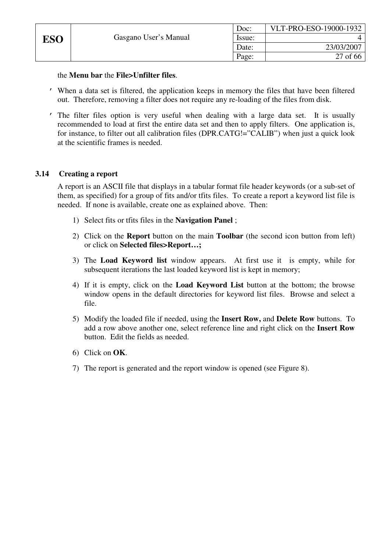|     |                       | Doc:   | VLT-PRO-ESO-19000-1932 |
|-----|-----------------------|--------|------------------------|
| ESO | Gasgano User's Manual | Issue: |                        |
|     |                       | Date:  | 23/03/2007             |
|     |                       | Page:  | 27 of 66               |

#### the **Menu bar** the **File>Unfilter files**.

- ' When a data set is filtered, the application keeps in memory the files that have been filtered out. Therefore, removing a filter does not require any re-loading of the files from disk.
- ' The filter files option is very useful when dealing with a large data set. It is usually recommended to load at first the entire data set and then to apply filters. One application is, for instance, to filter out all calibration files (DPR,CATG!="CALIB") when just a quick look at the scientific frames is needed.

### **3.14 Creating a report**

A report is an ASCII file that displays in a tabular format file header keywords (or a sub-set of them, as specified) for a group of fits and/or tfits files. To create a report a keyword list file is needed. If none is available, create one as explained above. Then:

- 1) Select fits or tfits files in the **Navigation Panel** ;
- 2) Click on the **Report** button on the main **Toolbar** (the second icon button from left) or click on **Selected files>Report…;**
- 3) The **Load Keyword list** window appears. At first use it is empty, while for subsequent iterations the last loaded keyword list is kept in memory;
- 4) If it is empty, click on the **Load Keyword List** button at the bottom; the browse window opens in the default directories for keyword list files. Browse and select a file.
- 5) Modify the loaded file if needed, using the **Insert Row,** and **Delete Row** buttons. To add a row above another one, select reference line and right click on the **Insert Row** button. Edit the fields as needed.
- 6) Click on **OK**.
- 7) The report is generated and the report window is opened (see Figure 8).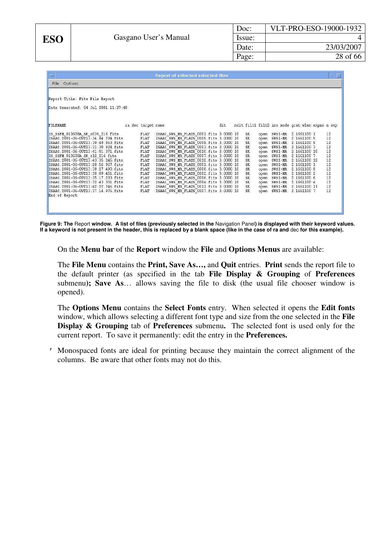| Doc:   | VLT-PRO-ESO-19000-1932 |
|--------|------------------------|
| Issue: |                        |
| Date:  | 23/03/2007             |
| Page:  | 28 of 66               |

| $\overline{\phantom{a}}$                                                    |                    | <b>Report of selected selected files</b>                                           |     |                  |              |                        |                                                 | p.       |
|-----------------------------------------------------------------------------|--------------------|------------------------------------------------------------------------------------|-----|------------------|--------------|------------------------|-------------------------------------------------|----------|
| File Options                                                                |                    |                                                                                    |     |                  |              |                        |                                                 |          |
| Report Title: Fits File Report                                              |                    |                                                                                    |     |                  |              |                        |                                                 |          |
| Date Generated: 04 Jul 2001 11:37:48                                        |                    |                                                                                    |     |                  |              |                        |                                                 |          |
| FILENAME                                                                    | ra dec target name |                                                                                    | dit |                  |              |                        | ndit filt1 filt2 ins mode grat wlen expno n exp |          |
| IS SSFM 010608A SK s03t 216. fits                                           | FLAT               | ISAAC SWS MR FLATS 0001 fits 3.0000 10                                             |     | SK.              | open         | $SWS1-MR$              | 2.1661100 1                                     | 12       |
| ISAAC. 2001-06-09T13:34:04.704.fits                                         | FLAT               | ISAAC SWS MR FLATS 0005. fits 3.0000 10                                            |     | SK.              | open         | $SWS1-MR$              | 2.1661100 5                                     | 12       |
| ISAAC. 2001-06-09T13:39:48.863.fits                                         | FLAT               | ISAAC SWS MR FLATS 0009. fits 3.0000 10                                            |     | <b>SK</b>        | open         | $SWS1-MR$              | 2.1661100 9                                     | 12       |
| ISAAC. 2001-06-09T13:31:30.824.fits                                         | FLAT               | ISAAC SWS MR FLATS 0003. fits 3.0000 10                                            |     | SK               | open         | $SWS1-MR$              | 2.1661100 3                                     | 12       |
| ISAAC. 2001-06-09T13:41:01.371.fits                                         | FLAT               | ISAAC SWS MR FLATS 0010. fits 3.0000 10                                            |     | SK.              | open         | SWS1-MR                | 2.1661100 10                                    | 12       |
| IS SSFM 010608A SK sl2 216. fits                                            | FLAT               | ISAAC SWS MR FLATS 0007 fits 3,0000 10                                             |     | <b>SK</b>        | open         | $SWS1-MR$              | 2.1661100 7                                     | 12       |
| ISAAC. 2001-06-09T13:43:35.245.fits                                         | FLAT               | ISAAC SWS MR FLATS 0012 fits 3.0000 10                                             |     | <b>SK</b>        | open         | $SWS1-MR$              | 2.1661100 12                                    | 12       |
| ISAAC.2001-06-09T13:28:56.927.fits                                          | FLAT               | ISAAC SWS MR FLATS 0001. fits 3.0000 10                                            |     | SK               | open         | SWS1-MR                | 2.1661100 1                                     | 12       |
| ISAAC. 2001-06-09T13:38:27.490.fits                                         | FLAT               | ISAAC SWS MR FLATS 0008. fits 3.0000 10                                            |     | SK.              | open         | SWS1-MR                | 2.1661100 8                                     | 12       |
| ISAAC. 2001-06-09T13:30:09.451.fits                                         | FLAT               | ISAAC SWS MR FLATS 0002. fits 3.0000 10                                            |     | SK.<br><b>SK</b> | open         | $SWS1-MR$              | 2.1661100 2                                     | 12       |
| ISAAC. 2001-06-09T13:35:17.203.fits<br>ISAAC. 2001-06-09T13:32:43.331. fits | FLAT<br>FLAT       | ISAAC SWS MR FLATS 0006. fits 3.0000 10<br>ISAAC SWS MR FLATS 0004. fits 3.0000 10 |     | SK.              | open<br>open | $SWS1-MR$<br>$SWS1-MR$ | 2.1661100 6<br>2.1661100 4                      | 12<br>12 |
| ISAAC. 2001-06-09T13:42:22.746.fits                                         | FLAT               | ISAAC SWS MR FLATS 0011 fits 3.0000 10                                             |     | SK.              | open         | $SWS1-MR$              | 2.1661100 11                                    | 12       |
| ISAAC. 2001-06-09T13:37:14.975.fits                                         | FLAT               | ISAAC SWS MR FLATS 0007. fits 3.0000 10                                            |     | <b>SK</b>        | open         | $SWS1-MR$              | 2.1661100 7                                     | 12       |
| End of Report                                                               |                    |                                                                                    |     |                  |              |                        |                                                 |          |

**Figure 9: The** Report **window. A list of files (previously selected in the** Navigation Panel**) is displayed with their keyword values. If a keyword is not present in the header, this is replaced by a blank space (like in the case of ra and** dec **for this example).** 

On the **Menu bar** of the **Report** window the **File** and **Options Menus** are available:

The **File Menu** contains the **Print, Save As…,** and **Quit** entries. **Print** sends the report file to the default printer (as specified in the tab **File Display & Grouping** of **Preferences**  submenu**); Save As**… allows saving the file to disk (the usual file chooser window is opened).

The **Options Menu** contains the **Select Fonts** entry. When selected it opens the **Edit fonts** window, which allows selecting a different font type and size from the one selected in the **File Display & Grouping** tab of **Preferences** submenu**.** The selected font is used only for the current report. To save it permanently: edit the entry in the **Preferences.** 

' Monospaced fonts are ideal for printing because they maintain the correct alignment of the columns. Be aware that other fonts may not do this.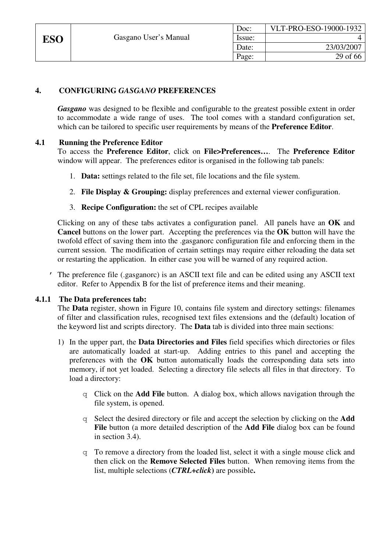|            |                       | Doc:   | VLT-PRO-ESO-19000-1932 |
|------------|-----------------------|--------|------------------------|
| <b>ESO</b> | Gasgano User's Manual | Issue: |                        |
|            |                       | Date:  | 23/03/2007             |
|            |                       | Page:  | 29 of 66               |

# **4. CONFIGURING** *GASGANO* **PREFERENCES**

*Gasgano* was designed to be flexible and configurable to the greatest possible extent in order to accommodate a wide range of uses. The tool comes with a standard configuration set, which can be tailored to specific user requirements by means of the **Preference Editor**.

# **4.1 Running the Preference Editor**

To access the **Preference Editor**, click on **File>Preferences…**. The **Preference Editor** window will appear. The preferences editor is organised in the following tab panels:

- 1. **Data:** settings related to the file set, file locations and the file system.
- 2. **File Display & Grouping:** display preferences and external viewer configuration.
- 3. **Recipe Configuration:** the set of CPL recipes available

 Clicking on any of these tabs activates a configuration panel. All panels have an **OK** and **Cancel** buttons on the lower part. Accepting the preferences via the **OK** button will have the twofold effect of saving them into the .gasganorc configuration file and enforcing them in the current session. The modification of certain settings may require either reloading the data set or restarting the application. In either case you will be warned of any required action.

' The preference file (.gasganorc) is an ASCII text file and can be edited using any ASCII text editor. Refer to Appendix B for the list of preference items and their meaning.

#### **4.1.1 The Data preferences tab:**

The **Data** register, shown in Figure 10, contains file system and directory settings: filenames of filter and classification rules, recognised text files extensions and the (default) location of the keyword list and scripts directory. The **Data** tab is divided into three main sections:

- 1) In the upper part, the **Data Directories and Files** field specifies which directories or files are automatically loaded at start-up. Adding entries to this panel and accepting the preferences with the **OK** button automatically loads the corresponding data sets into memory, if not yet loaded. Selecting a directory file selects all files in that directory. To load a directory:
	- q Click on the **Add File** button. A dialog box, which allows navigation through the file system, is opened.
	- q Select the desired directory or file and accept the selection by clicking on the **Add File** button (a more detailed description of the **Add File** dialog box can be found in section 3.4).
	- q To remove a directory from the loaded list, select it with a single mouse click and then click on the **Remove Selected Files** button. When removing items from the list, multiple selections (*CTRL+click***)** are possible**.**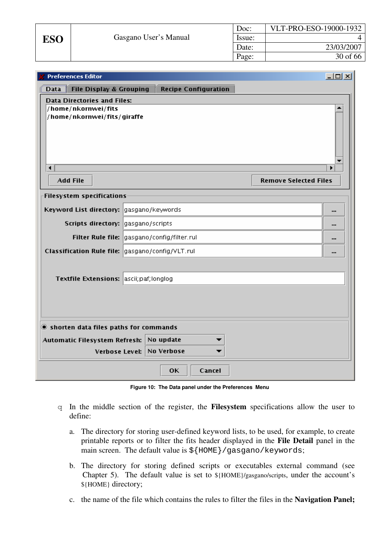| <b>Preferences Editor</b>                                                                |                             |        |                              | $ \Box$ $\times$ |
|------------------------------------------------------------------------------------------|-----------------------------|--------|------------------------------|------------------|
| File Display & Grouping<br><b>Data</b>                                                   | <b>Recipe Configuration</b> |        |                              |                  |
| <b>Data Directories and Files:</b><br>/home/nkornwei/fits<br>/home/nkornwei/fits/giraffe |                             |        |                              |                  |
| $\blacktriangleleft$                                                                     |                             |        |                              |                  |
| <b>Add File</b>                                                                          |                             |        | <b>Remove Selected Files</b> |                  |
| <b>Filesystem specifications</b>                                                         |                             |        |                              |                  |
| Keyword List directory: gasgano/keywords                                                 |                             |        |                              |                  |
| Scripts directory: gasgano/scripts                                                       |                             |        |                              |                  |
| Filter Rule file: gasgano/config/filter.rul                                              |                             |        |                              |                  |
| Classification Rule file: gasgano/config/VLT.rul                                         |                             |        |                              |                  |
|                                                                                          |                             |        |                              |                  |
| Textfile Extensions: ascii; paf; longlog                                                 |                             |        |                              |                  |
|                                                                                          |                             |        |                              |                  |
| $\bullet$ shorten data files paths for commands                                          |                             |        |                              |                  |
| Automatic Filesystem Refresh:                                                            | No update                   |        |                              |                  |
| <b>Verbose Level:</b>                                                                    | <b>No Verbose</b>           |        |                              |                  |
|                                                                                          | <b>OK</b>                   | Cancel |                              |                  |

**Figure 10: The Data panel under the Preferences Menu** 

- q In the middle section of the register, the **Filesystem** specifications allow the user to define:
	- a. The directory for storing user-defined keyword lists, to be used, for example, to create printable reports or to filter the fits header displayed in the **File Detail** panel in the main screen. The default value is  $\S$ {HOME}/gasgano/keywords;
	- b. The directory for storing defined scripts or executables external command (see Chapter 5). The default value is set to \${HOME}/gasgano/scripts, under the account's \${HOME} directory;
	- c. the name of the file which contains the rules to filter the files in the **Navigation Panel;**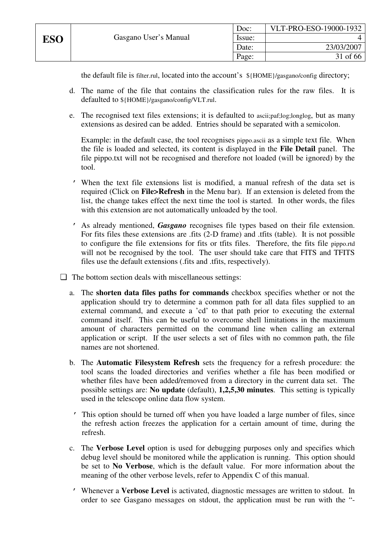the default file is filter.rul, located into the account's \${HOME}/gasgano/config directory;

- d. The name of the file that contains the classification rules for the raw files. It is defaulted to \${HOME}/gasgano/config/VLT.rul.
- e. The recognised text files extensions; it is defaulted to ascii;paf;log;longlog, but as many extensions as desired can be added. Entries should be separated with a semicolon.

Example: in the default case, the tool recognises pippo.ascii as a simple text file. When the file is loaded and selected, its content is displayed in the **File Detail** panel. The file pippo.txt will not be recognised and therefore not loaded (will be ignored) by the tool.

- ' When the text file extensions list is modified, a manual refresh of the data set is required (Click on **File>Refresh** in the Menu bar). If an extension is deleted from the list, the change takes effect the next time the tool is started. In other words, the files with this extension are not automatically unloaded by the tool.
- ' As already mentioned, *Gasgano* recognises file types based on their file extension. For fits files these extensions are .fits (2-D frame) and .tfits (table). It is not possible to configure the file extensions for fits or tfits files. Therefore, the fits file pippo.rtd will not be recognised by the tool. The user should take care that FITS and TFITS files use the default extensions (.fits and .tfits, respectively).
- ❏ The bottom section deals with miscellaneous settings:
	- a. The **shorten data files paths for commands** checkbox specifies whether or not the application should try to determine a common path for all data files supplied to an external command, and execute a 'cd' to that path prior to executing the external command itself. This can be useful to overcome shell limitations in the maximum amount of characters permitted on the command line when calling an external application or script. If the user selects a set of files with no common path, the file names are not shortened.
	- b. The **Automatic Filesystem Refresh** sets the frequency for a refresh procedure: the tool scans the loaded directories and verifies whether a file has been modified or whether files have been added/removed from a directory in the current data set. The possible settings are: **No update** (default), **1,2,5,30 minutes**. This setting is typically used in the telescope online data flow system.
	- ' This option should be turned off when you have loaded a large number of files, since the refresh action freezes the application for a certain amount of time, during the refresh.
	- c. The **Verbose Level** option is used for debugging purposes only and specifies which debug level should be monitored while the application is running. This option should be set to **No Verbose**, which is the default value. For more information about the meaning of the other verbose levels, refer to Appendix C of this manual.
	- ' Whenever a **Verbose Level** is activated, diagnostic messages are written to stdout. In order to see Gasgano messages on stdout, the application must be run with the "-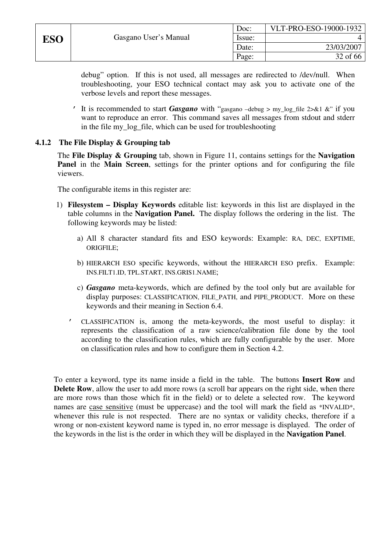Page: 32 of 66

debug" option. If this is not used, all messages are redirected to /dev/null. When troubleshooting, your ESO technical contact may ask you to activate one of the verbose levels and report these messages.

' It is recommended to start *Gasgano* with "gasgano –debug > my\_log\_file 2>&1 &" if you want to reproduce an error. This command saves all messages from stdout and stderr in the file my\_log\_file, which can be used for troubleshooting

# **4.1.2 The File Display & Grouping tab**

The **File Display & Grouping** tab, shown in Figure 11, contains settings for the **Navigation Panel** in the **Main Screen**, settings for the printer options and for configuring the file viewers.

The configurable items in this register are:

- 1) **Filesystem Display Keywords** editable list: keywords in this list are displayed in the table columns in the **Navigation Panel.** The display follows the ordering in the list. The following keywords may be listed:
	- a) All 8 character standard fits and ESO keywords: Example: RA, DEC, EXPTIME, ORIGFILE;
	- b) HIERARCH ESO specific keywords, without the HIERARCH ESO prefix. Example: INS.FILT1.ID, TPL.START, INS.GRIS1.NAME;
	- c) *Gasgano* meta-keywords, which are defined by the tool only but are available for display purposes: CLASSIFICATION, FILE\_PATH, and PIPE\_PRODUCT. More on these keywords and their meaning in Section 6.4.
	- ' CLASSIFICATION is, among the meta-keywords, the most useful to display: it represents the classification of a raw science/calibration file done by the tool according to the classification rules, which are fully configurable by the user. More on classification rules and how to configure them in Section 4.2.

To enter a keyword, type its name inside a field in the table. The buttons **Insert Row** and **Delete Row**, allow the user to add more rows (a scroll bar appears on the right side, when there are more rows than those which fit in the field) or to delete a selected row. The keyword names are case sensitive (must be uppercase) and the tool will mark the field as \*INVALID\*, whenever this rule is not respected. There are no syntax or validity checks, therefore if a wrong or non-existent keyword name is typed in, no error message is displayed. The order of the keywords in the list is the order in which they will be displayed in the **Navigation Panel**.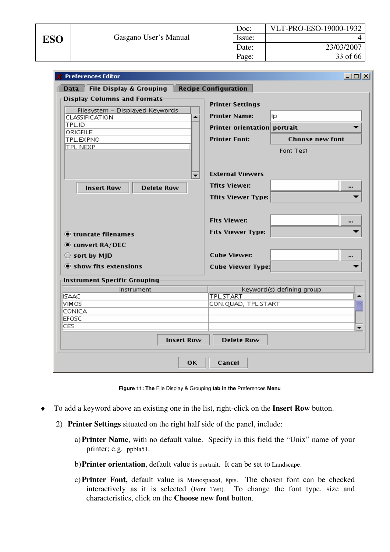| <b>Preferences Editor</b>                  |                              | $  D $ $\times$           |
|--------------------------------------------|------------------------------|---------------------------|
| Data<br><b>File Display &amp; Grouping</b> | <b>Recipe Configuration</b>  |                           |
| <b>Display Columns and Formats</b>         | <b>Printer Settings</b>      |                           |
| Filesystem - Displayed Keywords<br>▲       | <b>Printer Name:</b><br>llp. |                           |
| CLASSIFICATION<br>TPL.ID                   | Printer orientation portrait |                           |
| ORIGFILE                                   |                              |                           |
| TPL.EXPNO<br>TPL.NEXP                      | <b>Printer Font:</b>         | Choose new font           |
|                                            |                              | Font Test                 |
|                                            |                              |                           |
| ▼                                          | <b>External Viewers</b>      |                           |
| <b>Insert Row</b><br><b>Delete Row</b>     | <b>Tfits Viewer:</b>         |                           |
|                                            | <b>Tfits Viewer Type:</b>    |                           |
|                                            |                              |                           |
|                                            | <b>Fits Viewer:</b>          |                           |
| truncate filenames                         | <b>Fits Viewer Type:</b>     |                           |
| Convert RA/DEC                             |                              |                           |
| $\bigcirc$ sort by MJD                     | <b>Cube Viewer:</b>          |                           |
| Show fits extensions                       | <b>Cube Viewer Type:</b>     |                           |
|                                            |                              |                           |
| Instrument Specific Grouping<br>instrument |                              | keyword(s) defining group |
| <b>ISAAC</b>                               | <b>TPL.START</b>             |                           |
| VIMOS.                                     | CON.QUAD, TPL.START          |                           |
| CONICA<br><b>EFOSC</b>                     |                              |                           |
| CES                                        |                              | $\overline{\phantom{0}}$  |
|                                            |                              |                           |
| <b>Insert Row</b>                          | <b>Delete Row</b>            |                           |
| OК                                         | Cancel                       |                           |

**Figure 11: The** File Display & Grouping **tab in the** Preferences **Menu** 

- ♦ To add a keyword above an existing one in the list, right-click on the **Insert Row** button.
	- 2) **Printer Settings** situated on the right half side of the panel, include:
		- a)**Printer Name**, with no default value. Specify in this field the "Unix" name of your printer; e.g. ppbla51.
		- b)**Printer orientation**, default value is portrait. It can be set to Landscape.
		- c)**Printer Font,** default value is Monospaced, 8pts. The chosen font can be checked interactively as it is selected (Font Test). To change the font type, size and characteristics, click on the **Choose new font** button.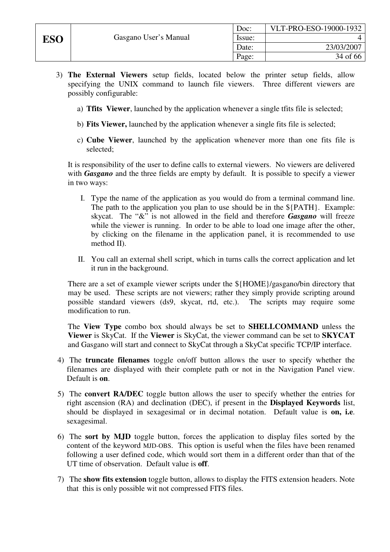- 3) **The External Viewers** setup fields, located below the printer setup fields, allow specifying the UNIX command to launch file viewers. Three different viewers are possibly configurable:
	- a) **Tfits Viewer**, launched by the application whenever a single tfits file is selected;
	- b) **Fits Viewer,** launched by the application whenever a single fits file is selected;
	- c) **Cube Viewer**, launched by the application whenever more than one fits file is selected;

It is responsibility of the user to define calls to external viewers. No viewers are delivered with *Gasgano* and the three fields are empty by default. It is possible to specify a viewer in two ways:

- I. Type the name of the application as you would do from a terminal command line. The path to the application you plan to use should be in the \${PATH}. Example: skycat. The "&" is not allowed in the field and therefore *Gasgano* will freeze while the viewer is running. In order to be able to load one image after the other, by clicking on the filename in the application panel, it is recommended to use method II).
- II. You call an external shell script, which in turns calls the correct application and let it run in the background.

There are a set of example viewer scripts under the \${HOME}/gasgano/bin directory that may be used. These scripts are not viewers; rather they simply provide scripting around possible standard viewers (ds9, skycat, rtd, etc.). The scripts may require some modification to run.

The **View Type** combo box should always be set to **SHELLCOMMAND** unless the **Viewer** is SkyCat. If the **Viewer** is SkyCat, the viewer command can be set to **SKYCAT** and Gasgano will start and connect to SkyCat through a SkyCat specific TCP/IP interface.

- 4) The **truncate filenames** toggle on/off button allows the user to specify whether the filenames are displayed with their complete path or not in the Navigation Panel view. Default is **on**.
- 5) The **convert RA/DEC** toggle button allows the user to specify whether the entries for right ascension (RA) and declination (DEC), if present in the **Displayed Keywords** list, should be displayed in sexagesimal or in decimal notation. Default value is **on, i.e**. sexagesimal.
- 6) The **sort by MJD** toggle button, forces the application to display files sorted by the content of the keyword MJD-OBS. This option is useful when the files have been renamed following a user defined code, which would sort them in a different order than that of the UT time of observation. Default value is **off**.
- 7) The **show fits extension** toggle button, allows to display the FITS extension headers. Note that this is only possible wit not compressed FITS files.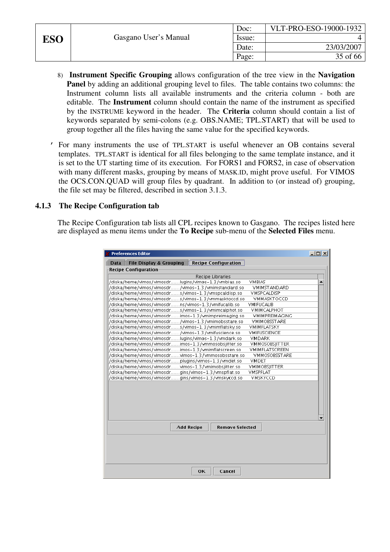|            |                       | Doc:   | VLT-PRO-ESO-19000-1932 |
|------------|-----------------------|--------|------------------------|
| <b>ESO</b> | Gasgano User's Manual | Issue: |                        |
|            |                       | Date:  | 23/03/2007             |
|            |                       | Page:  | 35 of 66               |

- 8) **Instrument Specific Grouping** allows configuration of the tree view in the **Navigation Panel** by adding an additional grouping level to files. The table contains two columns: the Instrument column lists all available instruments and the criteria column - both are editable. The **Instrument** column should contain the name of the instrument as specified by the INSTRUME keyword in the header. The **Criteria** column should contain a list of keywords separated by semi-colons (e.g. OBS.NAME; TPL.START) that will be used to group together all the files having the same value for the specified keywords.
- ' For many instruments the use of TPL.START is useful whenever an OB contains several templates. TPL.START is identical for all files belonging to the same template instance, and it is set to the UT starting time of its execution. For FORS1 and FORS2, in case of observation with many different masks, grouping by means of MASK.ID, might prove useful. For VIMOS the OCS.CON.QUAD will group files by quadrant. In addition to (or instead of) grouping, the file set may be filtered, described in section 3.1.3.

#### **4.1.3 The Recipe Configuration tab**

The Recipe Configuration tab lists all CPL recipes known to Gasgano. The recipes listed here are displayed as menu items under the **To Recipe** sub-menu of the **Selected Files** menu.

| <b>Data</b> | <b>File Display &amp; Grouping</b>                  | <b>Recipe Configuration</b>                 |                      |  |
|-------------|-----------------------------------------------------|---------------------------------------------|----------------------|--|
|             | <b>Recipe Configuration</b>                         |                                             |                      |  |
|             |                                                     | Recipe Libraries                            |                      |  |
|             | /diska/home/vimos/vimosdrlugins/vimos-1.3/vmbias.so |                                             | <b>VMBIAS</b>        |  |
|             | /diska/home/vimos/vimosdr/vimos-1.3/vmimstandard.so |                                             | VMIMSTANDARD         |  |
|             | /diska/home/vimos/vimosdrs/vimos=1.3/vmspcaldisp.so |                                             | VMSPCALDISP          |  |
|             | /diska/home/vimos/vimosdrs/vimos=1.3/vmmasktoccd.so |                                             | VMMASKTOCCD          |  |
|             | /diska/home/vimos/vimosdrns/vimos-1.3/vmifucalib.so |                                             | VMIFUCALIB           |  |
|             | /diska/home/vimos/vimosdrs/vimos-1.3/vmimcalphot.so |                                             | VMIMCALPHOT          |  |
|             | /diska/home/vimos/vimosdrimos-1.3/vmimpreimaging.so |                                             | VMIMPREIMAGING       |  |
|             | /diska/home/vimos/vimosdr/vimos-1.3/vmimobsstare.so |                                             | VMIMOBSSTARE         |  |
|             | /diska/home/vimos/vimosdrs/vimos-1.3/vmimflatsky.so |                                             | VMIMFLATSKY          |  |
|             | /diska/home/vimos/vimosdr/vimos-1.3/vmifuscience.so |                                             | VMIFUSCIENCE         |  |
|             | /diska/home/vimos/vimosdrlugins/vimos-1.3/vmdark.so |                                             | VMDARK               |  |
|             | /diska/home/vimos/vimosdrimos-1.3/vmmosobsjitter.so |                                             | VMMOSOBSIITTER       |  |
|             | /diska/home/vimos/vimosdrimos-1.3/vmimflatscreen.so |                                             | VMIMFLATSCREEN       |  |
|             | /diska/home/vimos/vimosdrvimos-1.3/vmmosobsstare.so |                                             | <b>VMMOSOBSSTARE</b> |  |
|             | /diska/home/vimos/vimosdrplugins/vimos-1.3/vmdet.so |                                             | <b>VMDET</b>         |  |
|             | /diska/home/vimos/vimosdrvimos-1.3/vmimobsjitter.so |                                             | VMIMOBSIITTER        |  |
|             | /diska/home/vimos/vimosdrgins/vimos-1.3/vmspflat.so |                                             | <b>VMSPFLAT</b>      |  |
|             | /diska/home/vimos/vimosdrgins/vimos-1.3/vmskyccd.so |                                             | VMSKYCCD             |  |
|             |                                                     | <b>Add Recipe</b><br><b>Remove Selected</b> |                      |  |
|             |                                                     |                                             |                      |  |
|             |                                                     | <b>OK</b><br>Cancel                         |                      |  |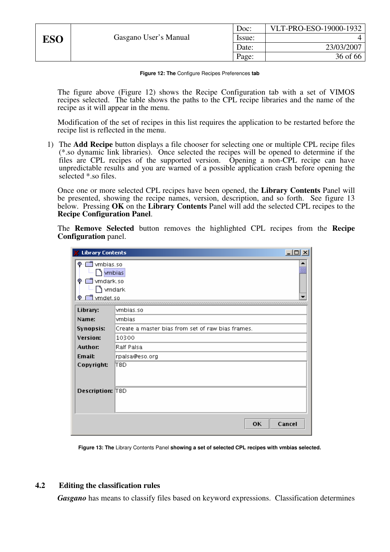|            |                       | Doc:   | VLT-PRO-ESO-19000-1932 |
|------------|-----------------------|--------|------------------------|
| <b>ESO</b> | Gasgano User's Manual | Issue: |                        |
|            |                       | Date:  | 23/03/2007             |
|            |                       | Page:  | 36 of 66               |

**Figure 12: The** Configure Recipes Preferences **tab** 

The figure above (Figure 12) shows the Recipe Configuration tab with a set of VIMOS recipes selected. The table shows the paths to the CPL recipe libraries and the name of the recipe as it will appear in the menu.

Modification of the set of recipes in this list requires the application to be restarted before the recipe list is reflected in the menu.

1) The **Add Recipe** button displays a file chooser for selecting one or multiple CPL recipe files (\*.so dynamic link libraries). Once selected the recipes will be opened to determine if the files are CPL recipes of the supported version. Opening a non-CPL recipe can have unpredictable results and you are warned of a possible application crash before opening the selected \*.so files.

Once one or more selected CPL recipes have been opened, the **Library Contents** Panel will be presented, showing the recipe names, version, description, and so forth. See figure 13 below. Pressing **OK** on the **Library Contents** Panel will add the selected CPL recipes to the **Recipe Configuration Panel**.

The **Remove Selected** button removes the highlighted CPL recipes from the **Recipe Configuration** panel.

| <b>Library Contents</b>                                                    | $-10x$                                            |
|----------------------------------------------------------------------------|---------------------------------------------------|
| vmbias.so<br>o<br><b>Mobias</b><br>vmdark.so<br>o.<br>) ∨mdark<br>vmdet.so |                                                   |
| Library:                                                                   | vmbias.so                                         |
| Name:                                                                      | ymbias                                            |
| <b>Synopsis:</b>                                                           | Create a master bias from set of raw bias frames. |
| <b>Version:</b>                                                            | 10300                                             |
| Author:                                                                    | Ralf Palsa                                        |
| Email:                                                                     | rpalsa@eso.org                                    |
| Copyright:                                                                 | IT BD.                                            |
| <b>Description: TBD</b>                                                    |                                                   |
|                                                                            | Cancel<br><b>OK</b>                               |

**Figure 13: The** Library Contents Panel **showing a set of selected CPL recipes with vmbias selected.** 

#### **4.2 Editing the classification rules**

*Gasgano* has means to classify files based on keyword expressions. Classification determines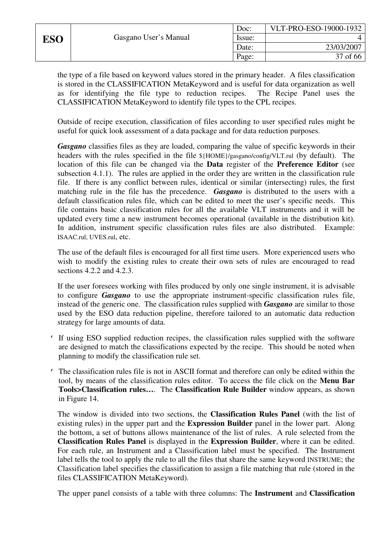|     |                       | Doc:   | VLT-PRO-ESO-19000-1932 |
|-----|-----------------------|--------|------------------------|
| ESO | Gasgano User's Manual | Issue: |                        |
|     |                       | Date:  | 23/03/2007             |
|     |                       | Page:  | 37 of 66               |

the type of a file based on keyword values stored in the primary header. A files classification is stored in the CLASSIFICATION MetaKeyword and is useful for data organization as well as for identifying the file type to reduction recipes. The Recipe Panel uses the CLASSIFICATION MetaKeyword to identify file types to the CPL recipes.

Outside of recipe execution, classification of files according to user specified rules might be useful for quick look assessment of a data package and for data reduction purposes.

*Gasgano* classifies files as they are loaded, comparing the value of specific keywords in their headers with the rules specified in the file \${HOME}/gasgano/config/VLT.rul (by default). The location of this file can be changed via the **Data** register of the **Preference Editor** (see subsection 4.1.1). The rules are applied in the order they are written in the classification rule file. If there is any conflict between rules, identical or similar (intersecting) rules, the first matching rule in the file has the precedence. *Gasgano* is distributed to the users with a default classification rules file, which can be edited to meet the user's specific needs. This file contains basic classification rules for all the available VLT instruments and it will be updated every time a new instrument becomes operational (available in the distribution kit). In addition, instrument specific classification rules files are also distributed. Example: ISAAC.rul, UVES.rul, etc.

The use of the default files is encouraged for all first time users. More experienced users who wish to modify the existing rules to create their own sets of rules are encouraged to read sections 4.2.2 and 4.2.3.

If the user foresees working with files produced by only one single instrument, it is advisable to configure *Gasgano* to use the appropriate instrument-specific classification rules file, instead of the generic one. The classification rules supplied with *Gasgano* are similar to those used by the ESO data reduction pipeline, therefore tailored to an automatic data reduction strategy for large amounts of data.

- If using ESO supplied reduction recipes, the classification rules supplied with the software are designed to match the classifications expected by the recipe. This should be noted when planning to modify the classification rule set.
- ' The classification rules file is not in ASCII format and therefore can only be edited within the tool, by means of the classification rules editor. To access the file click on the **Menu Bar Tools>Classification rules…**. The **Classification Rule Builder** window appears, as shown in Figure 14.

The window is divided into two sections, the **Classification Rules Panel** (with the list of existing rules) in the upper part and the **Expression Builder** panel in the lower part. Along the bottom, a set of buttons allows maintenance of the list of rules. A rule selected from the **Classification Rules Panel** is displayed in the **Expression Builder**, where it can be edited. For each rule, an Instrument and a Classification label must be specified. The Instrument label tells the tool to apply the rule to all the files that share the same keyword INSTRUME; the Classification label specifies the classification to assign a file matching that rule (stored in the files CLASSIFICATION MetaKeyword).

The upper panel consists of a table with three columns: The **Instrument** and **Classification**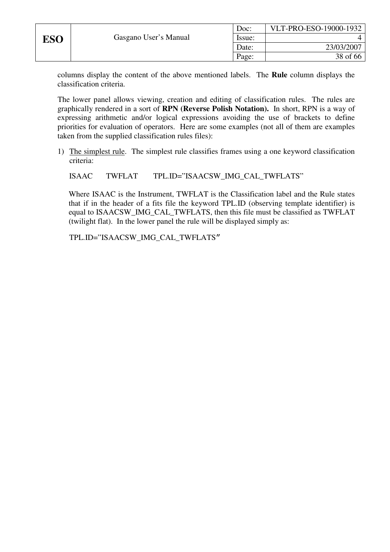|     |                       | Doc:   | VLT-PRO-ESO-19000-1932 |
|-----|-----------------------|--------|------------------------|
| ESO | Gasgano User's Manual | Issue: |                        |
|     |                       | Date:  | 23/03/2007             |
|     |                       | Page:  | 38 of 66               |

columns display the content of the above mentioned labels. The **Rule** column displays the classification criteria.

The lower panel allows viewing, creation and editing of classification rules. The rules are graphically rendered in a sort of **RPN (Reverse Polish Notation).** In short, RPN is a way of expressing arithmetic and/or logical expressions avoiding the use of brackets to define priorities for evaluation of operators. Here are some examples (not all of them are examples taken from the supplied classification rules files):

1) The simplest rule. The simplest rule classifies frames using a one keyword classification criteria:

ISAAC TWFLAT TPL.ID="ISAACSW\_IMG\_CAL\_TWFLATS"

Where ISAAC is the Instrument, TWFLAT is the Classification label and the Rule states that if in the header of a fits file the keyword TPL.ID (observing template identifier) is equal to ISAACSW\_IMG\_CAL\_TWFLATS, then this file must be classified as TWFLAT (twilight flat). In the lower panel the rule will be displayed simply as:

TPL.ID="ISAACSW\_IMG\_CAL\_TWFLATS"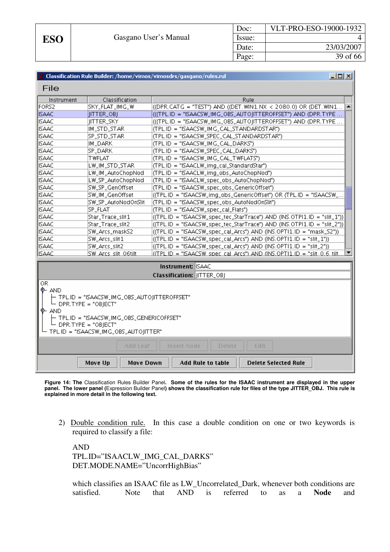|                                                                                 |                                                | Classification Rule Builder: /home/vimos/vimosdrs/gasgano/rules.rul<br>그미지 |  |  |
|---------------------------------------------------------------------------------|------------------------------------------------|----------------------------------------------------------------------------|--|--|
| File                                                                            |                                                |                                                                            |  |  |
| Instrument                                                                      | Classification                                 | Rule                                                                       |  |  |
| FORS2                                                                           | SKY_FLAT_IMG_W                                 | ((DPR.CATG = "TEST") AND ((DET.WIN1.NX < 2080.0) OR (DET.WIN1              |  |  |
| <b>ISAAC</b>                                                                    | <b>JITTER_OBJ</b>                              | (((TPL.ID = "ISAACSW_IMG_OBS_AUTOJITTEROFFSET") AND (DPR.TYPE              |  |  |
| <b>ISAAC</b>                                                                    | JITTER_SKY                                     | (((TPL.ID = "ISAACSW_IMG_OBS_AUTOJITTEROFFSET") AND (DPR.TYPE              |  |  |
| <b>ISAAC</b>                                                                    | IM_STD_STAR                                    | (TPL.ID = "ISAACSW_IMG_CAL_STANDARDSTAR")                                  |  |  |
| <b>ISAAC</b>                                                                    | SP_STD_STAR                                    | (TPL.ID = "ISAACSW_SPEC_CAL_STANDARDSTAR")                                 |  |  |
| <b>ISAAC</b>                                                                    | IM_DARK                                        | (TPL.ID = "ISAACSW_IMG_CAL_DARKS")                                         |  |  |
| <b>ISAAC</b>                                                                    | SP_DARK                                        | (TPL.ID = "ISAACSW_SPEC_CAL_DARKS")                                        |  |  |
| <b>ISAAC</b>                                                                    | TWFLAT                                         | (TPL.ID = "ISAACSW_IMG_CAL_TWFLATS")                                       |  |  |
| <b>ISAAC</b>                                                                    | LW_IM_STD_STAR                                 | (TPL.ID = "ISAACLW_img_cal_StandardStar")                                  |  |  |
| <b>ISAAC</b>                                                                    | LW_IM_AutoChopNod                              | (TPL.ID = "ISAACLW_img_obs_AutoChopNod")                                   |  |  |
| <b>ISAAC</b>                                                                    | LW_SP_AutoChopNod                              | (TPL.ID = "ISAACLW_spec_obs_AutoChopNod")                                  |  |  |
| <b>ISAAC</b>                                                                    | SW_SP_GenOffset                                | (TPL.ID = "ISAACSW_spec_obs_GenericOffset")                                |  |  |
| <b>ISAAC</b>                                                                    | SW_IM_GenOffset                                | ((TPL.ID = "ISAACSW_img_obs_GenericOffset") OR (TPL.ID = "ISAACSW_         |  |  |
| <b>ISAAC</b>                                                                    | SW_SP_AutoNodOnSlit                            | (TPL.ID = "ISAACSW_spec_obs_AutoNodOnSlit")                                |  |  |
| <b>ISAAC</b>                                                                    | <b>SP_FLAT</b>                                 | (TPL.ID = "ISAACSW_spec_cal_Flats")                                        |  |  |
| <b>ISAAC</b>                                                                    | Star_Trace_slit1                               | ((TPL.ID = "ISAACSW_spec_tec_StarTrace") AND (INS.OTPI1.ID = "slit_1"))    |  |  |
| <b>ISAAC</b>                                                                    | Star_Trace_slit2                               | ((TPL.ID = "ISAACSW_spec_tec_StarTrace") AND (INS.OTPI1.ID = "slit_2"))    |  |  |
| <b>ISAAC</b>                                                                    | SW_Arcs_maskS2                                 | $(TPL.ID = "ISAACSW_spec_cal_Arcs") AND (INS. OPTIL.ID = "mask_S2"))$      |  |  |
| <b>ISAAC</b>                                                                    | SW_Arcs_slit1                                  | ((TPL.ID = "ISAACSW_spec_cal_Arcs") AND (INS.OPTI1.ID = "slit_1"))         |  |  |
| <b>ISAAC</b>                                                                    | SW_Arcs_slit2                                  | ((TPL.ID = "ISAACSW_spec_cal_Arcs") AND (INS.OPTI1.ID = "slit_2"))         |  |  |
| <b>ISAAC</b>                                                                    | SW Arcs slit O6tilt                            | $(TPL.ID = "ISAACSW spec cal Arcs") AND (INS. OPTIL.ID = "slit 0.6 tilt.)$ |  |  |
|                                                                                 |                                                |                                                                            |  |  |
|                                                                                 |                                                | <b>Instrument: ISAAC</b>                                                   |  |  |
|                                                                                 |                                                | Classification: JITTER_OBJ                                                 |  |  |
| 0R                                                                              |                                                |                                                                            |  |  |
| $\bullet$ and                                                                   |                                                |                                                                            |  |  |
|                                                                                 | ├─ TPL.ID = "ISAACSW_IMG_OBS_AUTOIITTEROFFSET" |                                                                            |  |  |
| └─ DPR.TYPE = "OBJECT"                                                          |                                                |                                                                            |  |  |
| ቅ– AND                                                                          |                                                |                                                                            |  |  |
| ├ TPL.ID = "ISAACSW_IMG_OBS_GENERICOFFSET"                                      |                                                |                                                                            |  |  |
| $-$ DPR.TYPE = "OBIECT"                                                         |                                                |                                                                            |  |  |
| TPL.ID = "ISAACSW_IMG_OBS_AUTO ITTER"                                           |                                                |                                                                            |  |  |
| Add Leaf<br><b>Insert Node</b><br>Edit<br>Delete                                |                                                |                                                                            |  |  |
| Move Up<br>Move Down<br><b>Add Rule to table</b><br><b>Delete Selected Rule</b> |                                                |                                                                            |  |  |
|                                                                                 |                                                |                                                                            |  |  |

**Figure 14: The** Classification Rules Builder Panel**. Some of the rules for the ISAAC instrument are displayed in the upper panel. The lower panel (**Expression Builder Panel**) shows the classification rule for files of the type JITTER\_OBJ. This rule is explained in more detail in the following text.** 

2) Double condition rule. In this case a double condition on one or two keywords is required to classify a file:

AND TPL.ID="ISAACLW\_IMG\_CAL\_DARKS" DET.MODE.NAME="UncorrHighBias"

which classifies an ISAAC file as LW\_Uncorrelated\_Dark, whenever both conditions are satisfied. Note that AND is referred to as a **Node** and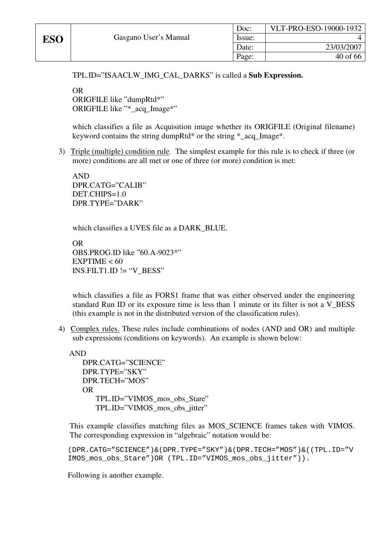TPL.ID="ISAACLW\_IMG\_CAL\_DARKS" is called a **Sub Expression.** 

OR ORIGFILE like "dumpRtd\*" ORIGFILE like "\* acq\_Image\*"

which classifies a file as Acquisition image whether its ORIGFILE (Original filename) keyword contains the string dumpRtd\* or the string \*\_acq\_Image\*.

3) Triple (multiple) condition rule. The simplest example for this rule is to check if three (or more) conditions are all met or one of three (or more) condition is met:

AND DPR.CATG="CALIB" DET.CHIPS=1.0 DPR.TYPE="DARK"

which classifies a UVES file as a DARK\_BLUE.

OR OBS.PROG.ID like "60.A-9023\*"  $EXPTIME < 60$  $INS. FILT1.ID := "V_BESS"$ 

which classifies a file as FORS1 frame that was either observed under the engineering standard Run ID or its exposure time is less than 1 minute or its filter is not a V\_BESS (this example is not in the distributed version of the classification rules).

4) Complex rules. These rules include combinations of nodes (AND and OR) and multiple sub expressions (conditions on keywords). An example is shown below:

AND DPR.CATG="SCIENCE" DPR.TYPE="SKY" DPR.TECH="MOS" OR TPL.ID="VIMOS\_mos\_obs\_Stare" TPL.ID="VIMOS\_mos\_obs\_jitter"

This example classifies matching files as MOS\_SCIENCE frames taken with VIMOS. The corresponding expression in "algebraic" notation would be:

```
(DPR.CATG="SCIENCE")&(DPR.TYPE="SKY")&(DPR.TECH="MOS")&((TPL.ID="V
IMOS_mos_obs_Stare")OR (TPL.ID="VIMOS_mos_obs_jitter")).
```
Following is another example.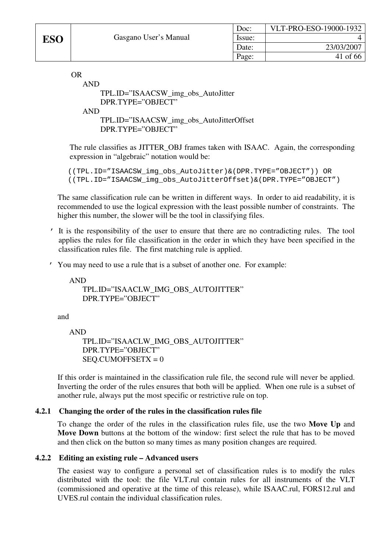OR

```
AND 
    TPL.ID="ISAACSW_img_obs_AutoJitter 
    DPR.TYPE="OBJECT" 
AND 
    TPL.ID="ISAACSW_img_obs_AutoJitterOffset 
    DPR.TYPE="OBJECT"
```
The rule classifies as JITTER\_OBJ frames taken with ISAAC. Again, the corresponding expression in "algebraic" notation would be:

```
((TPL.ID="ISAACSW_img_obs_AutoJitter)&(DPR.TYPE="OBJECT")) OR 
((TPL.ID="ISAACSW_img_obs_AutoJitterOffset)&(DPR.TYPE="OBJECT")
```
The same classification rule can be written in different ways. In order to aid readability, it is recommended to use the logical expression with the least possible number of constraints. The higher this number, the slower will be the tool in classifying files.

- ' It is the responsibility of the user to ensure that there are no contradicting rules. The tool applies the rules for file classification in the order in which they have been specified in the classification rules file. The first matching rule is applied.
- ' You may need to use a rule that is a subset of another one. For example:

AND TPL.ID="ISAACLW\_IMG\_OBS\_AUTOJITTER" DPR.TYPE="OBJECT"

and

AND

```
TPL.ID="ISAACLW_IMG_OBS_AUTOJITTER" 
DPR.TYPE="OBJECT" 
SEO.CUMOFFSETX = 0
```
If this order is maintained in the classification rule file, the second rule will never be applied. Inverting the order of the rules ensures that both will be applied. When one rule is a subset of another rule, always put the most specific or restrictive rule on top.

# **4.2.1 Changing the order of the rules in the classification rules file**

To change the order of the rules in the classification rules file, use the two **Move Up** and **Move Down** buttons at the bottom of the window: first select the rule that has to be moved and then click on the button so many times as many position changes are required.

# **4.2.2 Editing an existing rule – Advanced users**

The easiest way to configure a personal set of classification rules is to modify the rules distributed with the tool: the file VLT.rul contain rules for all instruments of the VLT (commissioned and operative at the time of this release), while ISAAC.rul, FORS12.rul and UVES.rul contain the individual classification rules.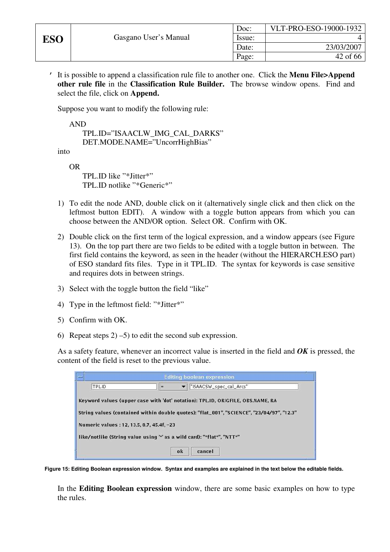' It is possible to append a classification rule file to another one. Click the **Menu File>Append other rule file** in the **Classification Rule Builder.** The browse window opens. Find and select the file, click on **Append.** 

Suppose you want to modify the following rule:

AND

```
TPL.ID="ISAACLW_IMG_CAL_DARKS" 
DET.MODE.NAME="UncorrHighBias"
```
into

OR

TPL.ID like "\*Jitter\*" TPL.ID notlike "\*Generic\*"

- 1) To edit the node AND, double click on it (alternatively single click and then click on the leftmost button EDIT). A window with a toggle button appears from which you can choose between the AND/OR option. Select OR. Confirm with OK.
- 2) Double click on the first term of the logical expression, and a window appears (see Figure 13). On the top part there are two fields to be edited with a toggle button in between. The first field contains the keyword, as seen in the header (without the HIERARCH.ESO part) of ESO standard fits files. Type in it TPL.ID. The syntax for keywords is case sensitive and requires dots in between strings.
- 3) Select with the toggle button the field "like"
- 4) Type in the leftmost field: "\*Jitter\*"
- 5) Confirm with OK.
- 6) Repeat steps  $2(-5)$  to edit the second sub expression.

As a safety feature, whenever an incorrect value is inserted in the field and *OK* is pressed, the content of the field is reset to the previous value.



**Figure 15: Editing Boolean expression window. Syntax and examples are explained in the text below the editable fields.** 

In the **Editing Boolean expression** window, there are some basic examples on how to type the rules.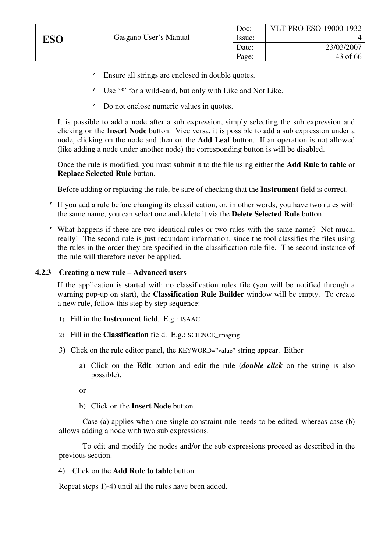- ' Ensure all strings are enclosed in double quotes.
- Use '\*' for a wild-card, but only with Like and Not Like.
- ' Do not enclose numeric values in quotes.

It is possible to add a node after a sub expression, simply selecting the sub expression and clicking on the **Insert Node** button. Vice versa, it is possible to add a sub expression under a node, clicking on the node and then on the **Add Leaf** button. If an operation is not allowed (like adding a node under another node) the corresponding button is will be disabled.

Once the rule is modified, you must submit it to the file using either the **Add Rule to table** or **Replace Selected Rule** button.

Before adding or replacing the rule, be sure of checking that the **Instrument** field is correct.

- ' If you add a rule before changing its classification, or, in other words, you have two rules with the same name, you can select one and delete it via the **Delete Selected Rule** button.
- ' What happens if there are two identical rules or two rules with the same name? Not much, really! The second rule is just redundant information, since the tool classifies the files using the rules in the order they are specified in the classification rule file. The second instance of the rule will therefore never be applied.

### **4.2.3 Creating a new rule – Advanced users**

If the application is started with no classification rules file (you will be notified through a warning pop-up on start), the **Classification Rule Builder** window will be empty. To create a new rule, follow this step by step sequence:

- 1) Fill in the **Instrument** field. E.g.: ISAAC
- 2) Fill in the **Classification** field. E.g.: SCIENCE\_imaging
- 3) Click on the rule editor panel, the KEYWORD="value" string appear. Either
	- a) Click on the **Edit** button and edit the rule (*double click* on the string is also possible).
	- or
	- b) Click on the **Insert Node** button.

Case (a) applies when one single constraint rule needs to be edited, whereas case (b) allows adding a node with two sub expressions.

To edit and modify the nodes and/or the sub expressions proceed as described in the previous section.

4) Click on the **Add Rule to table** button.

Repeat steps 1)-4) until all the rules have been added.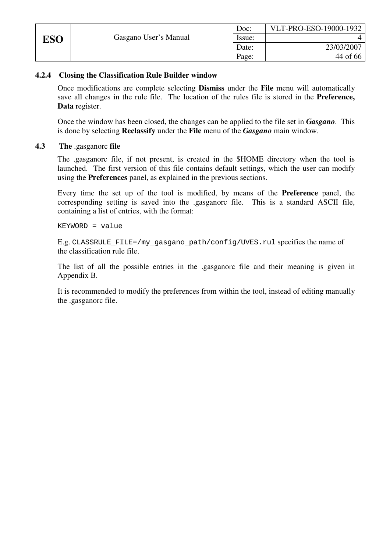|            |                       | Doc:   | VLT-PRO-ESO-19000-1932 |
|------------|-----------------------|--------|------------------------|
| <b>ESO</b> | Gasgano User's Manual | Issue: |                        |
|            |                       | Date:  | 23/03/2007             |
|            |                       | Page:  | 44 of 66               |

### **4.2.4 Closing the Classification Rule Builder window**

Once modifications are complete selecting **Dismiss** under the **File** menu will automatically save all changes in the rule file. The location of the rules file is stored in the **Preference, Data** register.

Once the window has been closed, the changes can be applied to the file set in *Gasgano*. This is done by selecting **Reclassify** under the **File** menu of the *Gasgano* main window.

**4.3 The** .gasganorc **file** 

The .gasganorc file, if not present, is created in the \$HOME directory when the tool is launched. The first version of this file contains default settings, which the user can modify using the **Preferences** panel, as explained in the previous sections.

Every time the set up of the tool is modified, by means of the **Preference** panel, the corresponding setting is saved into the .gasganorc file. This is a standard ASCII file, containing a list of entries, with the format:

KEYWORD = value

E.g. CLASSRULE\_FILE=/my\_gasgano\_path/config/UVES.rul specifies the name of the classification rule file.

The list of all the possible entries in the .gasganorc file and their meaning is given in Appendix B.

It is recommended to modify the preferences from within the tool, instead of editing manually the .gasganorc file.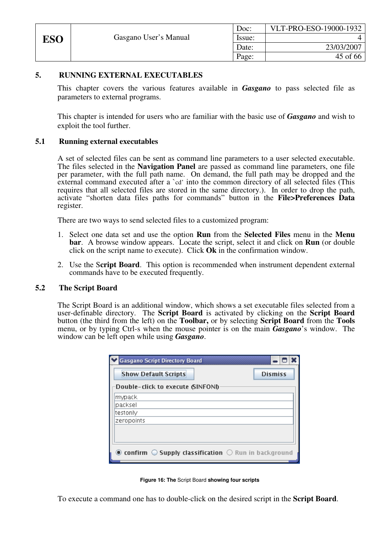|     |                       | Doc:   | VLT-PRO-ESO-19000-1932 |
|-----|-----------------------|--------|------------------------|
| ESO | Gasgano User's Manual | Issue: |                        |
|     |                       | Date:  | 23/03/2007             |
|     |                       | Page:  | 45 of 66               |

#### **5. RUNNING EXTERNAL EXECUTABLES**

This chapter covers the various features available in *Gasgano* to pass selected file as parameters to external programs.

This chapter is intended for users who are familiar with the basic use of *Gasgano* and wish to exploit the tool further.

#### **5.1 Running external executables**

A set of selected files can be sent as command line parameters to a user selected executable. The files selected in the **Navigation Panel** are passed as command line parameters, one file per parameter, with the full path name. On demand, the full path may be dropped and the external command executed after a 'cd' into the common directory of all selected files (This requires that all selected files are stored in the same directory.). In order to drop the path, activate "shorten data files paths for commands" button in the **File>Preferences Data** register.

There are two ways to send selected files to a customized program:

- 1. Select one data set and use the option **Run** from the **Selected Files** menu in the **Menu bar**. A browse window appears. Locate the script, select it and click on **Run** (or double click on the script name to execute). Click **Ok** in the confirmation window.
- 2. Use the S**cript Board**. This option is recommended when instrument dependent external commands have to be executed frequently.

#### **5.2 The Script Board**

The Script Board is an additional window, which shows a set executable files selected from a user-definable directory. The **Script Board** is activated by clicking on the **Script Board** button (the third from the left) on the **Toolbar,** or by selecting **Script Board** from the **Tools** menu, or by typing Ctrl-s when the mouse pointer is on the main *Gasgano*'s window. The window can be left open while using *Gasgano*.

| <b>Gasgano Script Directory Board</b>                                                                                                                                  |
|------------------------------------------------------------------------------------------------------------------------------------------------------------------------|
| <b>Dismiss</b><br><b>Show Default Scripts</b>                                                                                                                          |
| Double-click to execute (SINFONI)                                                                                                                                      |
| mypack                                                                                                                                                                 |
| packsel                                                                                                                                                                |
| testonly                                                                                                                                                               |
| zeropoints                                                                                                                                                             |
|                                                                                                                                                                        |
|                                                                                                                                                                        |
| $\textcircled{\tiny{\textcircled{\char'42}}}}$ confirm $\textcircled{\tiny{\textcircled{\char'42}}}}$ Supply classification $\textcircled{\char'22}$ Run in background |

**Figure 16: The** Script Board **showing four scripts** 

To execute a command one has to double-click on the desired script in the **Script Board**.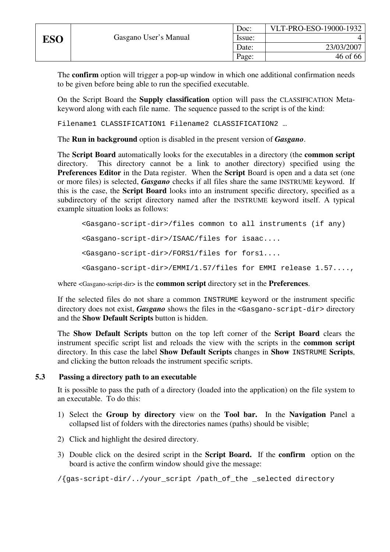The **confirm** option will trigger a pop-up window in which one additional confirmation needs to be given before being able to run the specified executable.

On the Script Board the **Supply classification** option will pass the CLASSIFICATION Metakeyword along with each file name. The sequence passed to the script is of the kind:

Filename1 CLASSIFICATION1 Filename2 CLASSIFICATION2 …

The **Run in background** option is disabled in the present version of *Gasgano*.

The **Script Board** automatically looks for the executables in a directory (the **common script**  directory. This directory cannot be a link to another directory) specified using the **Preferences Editor** in the Data register. When the **Script** Board is open and a data set (one or more files) is selected, *Gasgano* checks if all files share the same INSTRUME keyword. If this is the case, the **Script Board** looks into an instrument specific directory, specified as a subdirectory of the script directory named after the INSTRUME keyword itself. A typical example situation looks as follows:

```
<Gasgano-script-dir>/files common to all instruments (if any) 
<Gasgano-script-dir>/ISAAC/files for isaac.... 
<Gasgano-script-dir>/FORS1/files for fors1.... 
<Gasgano-script-dir>/EMMI/1.57/files for EMMI release 1.57....,
```
where <Gasgano-script-dir> is the **common script** directory set in the **Preferences**.

If the selected files do not share a common INSTRUME keyword or the instrument specific directory does not exist, *Gasgano* shows the files in the <Gasgano-script-dir> directory and the **Show Default Scripts** button is hidden.

The **Show Default Scripts** button on the top left corner of the **Script Board** clears the instrument specific script list and reloads the view with the scripts in the **common script**  directory. In this case the label **Show Default Scripts** changes in **Show** INSTRUME **Scripts**, and clicking the button reloads the instrument specific scripts.

# **5.3 Passing a directory path to an executable**

It is possible to pass the path of a directory (loaded into the application) on the file system to an executable. To do this:

- 1) Select the **Group by directory** view on the **Tool bar.** In the **Navigation** Panel a collapsed list of folders with the directories names (paths) should be visible;
- 2) Click and highlight the desired directory.
- 3) Double click on the desired script in the **Script Board.** If the **confirm** option on the board is active the confirm window should give the message:

/{gas-script-dir/../your\_script /path\_of\_the \_selected directory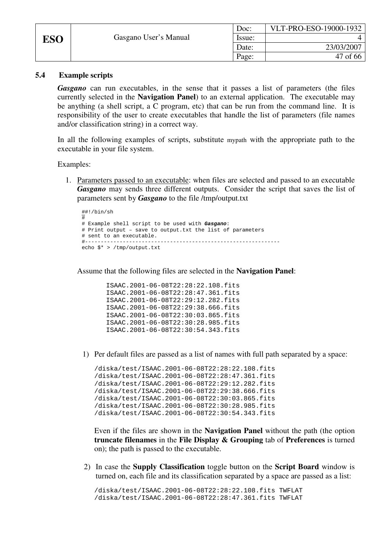|     |                       | Doc:   | VLT-PRO-ESO-19000-1932 |
|-----|-----------------------|--------|------------------------|
| ESO | Gasgano User's Manual | Issue: |                        |
|     |                       | Date:  | 23/03/2007             |
|     |                       | Page:  | 47 of 66               |

#### **5.4 Example scripts**

*Gasgano* can run executables, in the sense that it passes a list of parameters (the files currently selected in the **Navigation Panel**) to an external application. The executable may be anything (a shell script, a C program, etc) that can be run from the command line. It is responsibility of the user to create executables that handle the list of parameters (file names and/or classification string) in a correct way.

In all the following examples of scripts, substitute mypath with the appropriate path to the executable in your file system.

Examples:

1. Parameters passed to an executable: when files are selected and passed to an executable *Gasgano* may sends three different outputs. Consider the script that saves the list of parameters sent by *Gasgano* to the file /tmp/output.txt

```
##!/bin/sh 
# 
# Example shell script to be used with Gasgano: 
# Print output – save to output.txt the list of parameters 
# sent to an executable. 
#-------------------------------------------------------------- 
echo $* > /tmp/output.txt
```
Assume that the following files are selected in the **Navigation Panel**:

```
ISAAC.2001-06-08T22:28:22.108.fits 
ISAAC.2001-06-08T22:28:47.361.fits 
ISAAC.2001-06-08T22:29:12.282.fits 
ISAAC.2001-06-08T22:29:38.666.fits 
ISAAC.2001-06-08T22:30:03.865.fits 
ISAAC.2001-06-08T22:30:28.985.fits 
ISAAC.2001-06-08T22:30:54.343.fits
```
1) Per default files are passed as a list of names with full path separated by a space:

```
/diska/test/ISAAC.2001-06-08T22:28:22.108.fits 
/diska/test/ISAAC.2001-06-08T22:28:47.361.fits 
/diska/test/ISAAC.2001-06-08T22:29:12.282.fits 
/diska/test/ISAAC.2001-06-08T22:29:38.666.fits 
/diska/test/ISAAC.2001-06-08T22:30:03.865.fits 
/diska/test/ISAAC.2001-06-08T22:30:28.985.fits 
/diska/test/ISAAC.2001-06-08T22:30:54.343.fits
```
Even if the files are shown in the **Navigation Panel** without the path (the option **truncate filenames** in the **File Display & Grouping** tab of **Preferences** is turned on); the path is passed to the executable.

2) In case the **Supply Classification** toggle button on the **Script Board** window is turned on, each file and its classification separated by a space are passed as a list:

/diska/test/ISAAC.2001-06-08T22:28:22.108.fits TWFLAT /diska/test/ISAAC.2001-06-08T22:28:47.361.fits TWFLAT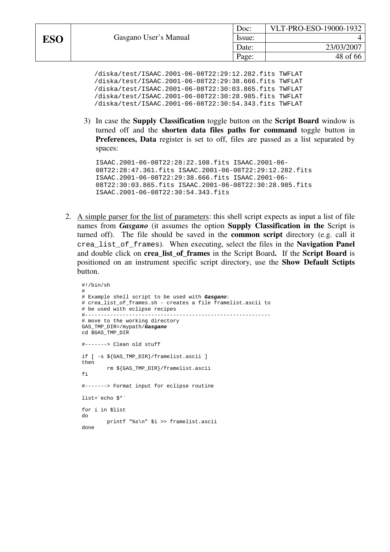/diska/test/ISAAC.2001-06-08T22:29:12.282.fits TWFLAT /diska/test/ISAAC.2001-06-08T22:29:38.666.fits TWFLAT /diska/test/ISAAC.2001-06-08T22:30:03.865.fits TWFLAT /diska/test/ISAAC.2001-06-08T22:30:28.985.fits TWFLAT /diska/test/ISAAC.2001-06-08T22:30:54.343.fits TWFLAT

3) In case the **Supply Classification** toggle button on the **Script Board** window is turned off and the **shorten data files paths for command** toggle button in **Preferences, Data** register is set to off, files are passed as a list separated by spaces:

ISAAC.2001-06-08T22:28:22.108.fits ISAAC.2001-06- 08T22:28:47.361.fits ISAAC.2001-06-08T22:29:12.282.fits ISAAC.2001-06-08T22:29:38.666.fits ISAAC.2001-06- 08T22:30:03.865.fits ISAAC.2001-06-08T22:30:28.985.fits ISAAC.2001-06-08T22:30:54.343.fits

2. A simple parser for the list of parameters: this shell script expects as input a list of file names from *Gasgano* (it assumes the option **Supply Classification in the** Script is turned off). The file should be saved in the **common script** directory (e.g. call it crea\_list\_of\_frames). When executing, select the files in the **Navigation Panel** and double click on **crea\_list\_of\_frames** in the Script Board**.** If the **Script Board** is positioned on an instrument specific script directory, use the **Show Default Sctipts**  button.

```
#!/bin/sh 
# 
# Example shell script to be used with Gasgano: 
# crea_list_of_frames.sh - creates a file framelist.ascii to 
# be used with eclipse recipes 
#----------------------------------------------------------- 
# move to the working directory 
GAS_TMP_DIR=/mypath/Gasgano 
cd $GAS_TMP_DIR 
#-------> Clean old stuff 
if [ -s ${GAS_TMP_DIR}/framelist.ascii ] 
then 
          rm ${GAS_TMP_DIR}/framelist.ascii 
fi
#-------> Format input for eclipse routine 
list=`echo $*` 
for i in $list 
do 
          printf "%s\n" $i >> framelist.ascii 
done
```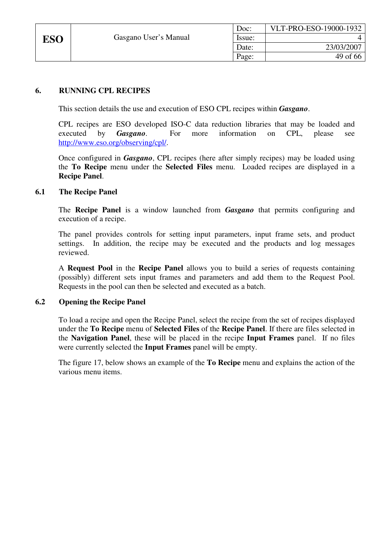|     |                       | Doc:   | VLT-PRO-ESO-19000-1932 |
|-----|-----------------------|--------|------------------------|
| ESO | Gasgano User's Manual | Issue: |                        |
|     |                       | Date:  | 23/03/2007             |
|     |                       | Page:  | 49 of 66               |

# **6. RUNNING CPL RECIPES**

This section details the use and execution of ESO CPL recipes within *Gasgano*.

CPL recipes are ESO developed ISO-C data reduction libraries that may be loaded and executed by *Gasgano*. For more information on CPL, please see http://www.eso.org/observing/cpl/.

Once configured in *Gasgano*, CPL recipes (here after simply recipes) may be loaded using the **To Recipe** menu under the **Selected Files** menu. Loaded recipes are displayed in a **Recipe Panel**.

#### **6.1 The Recipe Panel**

The **Recipe Panel** is a window launched from *Gasgano* that permits configuring and execution of a recipe.

The panel provides controls for setting input parameters, input frame sets, and product settings. In addition, the recipe may be executed and the products and log messages reviewed.

A **Request Pool** in the **Recipe Panel** allows you to build a series of requests containing (possibly) different sets input frames and parameters and add them to the Request Pool. Requests in the pool can then be selected and executed as a batch.

#### **6.2 Opening the Recipe Panel**

To load a recipe and open the Recipe Panel, select the recipe from the set of recipes displayed under the **To Recipe** menu of **Selected Files** of the **Recipe Panel**. If there are files selected in the **Navigation Panel**, these will be placed in the recipe **Input Frames** panel. If no files were currently selected the **Input Frames** panel will be empty.

The figure 17, below shows an example of the **To Recipe** menu and explains the action of the various menu items.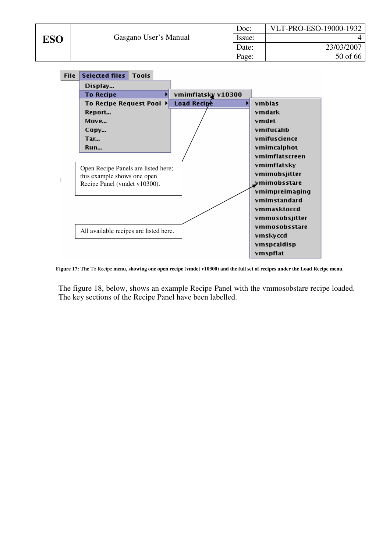| Doc:   | VLT-PRO-ESO-19000-1932 |
|--------|------------------------|
| Issue: |                        |
| Date:  | 23/03/2007             |
| Page:  | 50 of 66               |



**Figure 17: The** To Recipe **menu, showing one open recipe (vmdet v10300) and the full set of recipes under the Load Recipe menu.** 

The figure 18, below, shows an example Recipe Panel with the vmmosobstare recipe loaded. The key sections of the Recipe Panel have been labelled.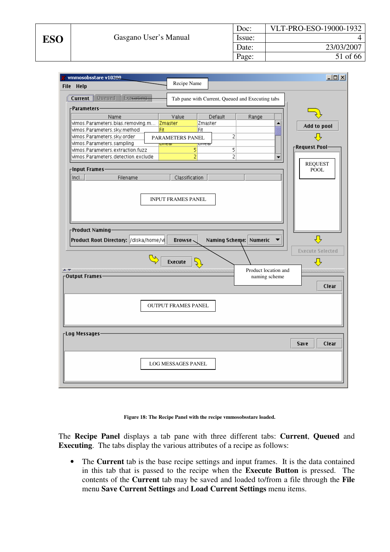| vmmosobsstare v10300                                                                                                                                                                               |                                                  |                                                                 | $   x$ $-$                                                                   |
|----------------------------------------------------------------------------------------------------------------------------------------------------------------------------------------------------|--------------------------------------------------|-----------------------------------------------------------------|------------------------------------------------------------------------------|
| <b>File</b><br><b>Help</b>                                                                                                                                                                         | Recipe Name                                      |                                                                 |                                                                              |
| Queued  <br><b>E</b> cecuting<br><b>Current</b>                                                                                                                                                    | Tab pane with Current, Queued and Executing tabs |                                                                 |                                                                              |
| -Parameters–                                                                                                                                                                                       |                                                  |                                                                 |                                                                              |
| Name                                                                                                                                                                                               | Value<br>Default                                 | Range                                                           |                                                                              |
| vimos.Parameters.bias.removing.m <mark>Zmaster</mark>                                                                                                                                              | Zmaster                                          | ▲                                                               | Add to pool                                                                  |
| Fit<br>vimos.Parameters.sky.method                                                                                                                                                                 | Fit                                              |                                                                 |                                                                              |
| vimos.Parameters.sky.order                                                                                                                                                                         | PARAMETERS PANEL                                 | 2                                                               |                                                                              |
| vimos.Parameters.sampling                                                                                                                                                                          | uncar<br>umear                                   |                                                                 | $\Gamma$ Request Pool-                                                       |
| vimos.Parameters.extraction.fuzz                                                                                                                                                                   | 5                                                | 5                                                               |                                                                              |
| lvimos.Parameters.detection.exclude                                                                                                                                                                | $\overline{2}$                                   | 2                                                               |                                                                              |
|                                                                                                                                                                                                    |                                                  |                                                                 | <b>REQUEST</b>                                                               |
| <sub>Г</sub> Input Frames−                                                                                                                                                                         |                                                  |                                                                 | <b>POOL</b>                                                                  |
| Incl<br>Filename                                                                                                                                                                                   | Classification                                   |                                                                 |                                                                              |
| Froduct Naming-<br>Product Root Directory: /diska/home/v<br>$\blacktriangle$ vereconcernence enconcernence enconcernence enconcernence enconcernence enconcernence enconcernence<br>Output Frames- | Browse-<br>Execute                               | Naming Scheme: Numeric<br>Product location and<br>naming scheme | ⇩<br><b>Execute Selected</b><br>⇩<br>,,,,,,,,,,,,,,,,,,,,,,,,,,,,,,<br>Clear |
|                                                                                                                                                                                                    | <b>OUTPUT FRAMES PANEL</b>                       |                                                                 |                                                                              |
| $r$ Log Messages-                                                                                                                                                                                  |                                                  |                                                                 |                                                                              |
|                                                                                                                                                                                                    |                                                  |                                                                 | Clear<br>Save                                                                |
|                                                                                                                                                                                                    | <b>LOG MESSAGES PANEL</b>                        |                                                                 |                                                                              |

#### **Figure 18: The Recipe Panel with the recipe vmmosobsstare loaded.**

The **Recipe Panel** displays a tab pane with three different tabs: **Current**, **Queued** and **Executing**. The tabs display the various attributes of a recipe as follows:

• The **Current** tab is the base recipe settings and input frames. It is the data contained in this tab that is passed to the recipe when the **Execute Button** is pressed. The contents of the **Current** tab may be saved and loaded to/from a file through the **File** menu **Save Current Settings** and **Load Current Settings** menu items.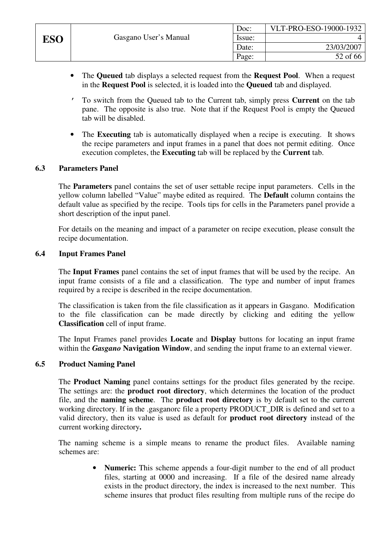- The **Queued** tab displays a selected request from the **Request Pool**. When a request in the **Request Pool** is selected, it is loaded into the **Queued** tab and displayed.
- ' To switch from the Queued tab to the Current tab, simply press **Current** on the tab pane. The opposite is also true. Note that if the Request Pool is empty the Queued tab will be disabled.
- The **Executing** tab is automatically displayed when a recipe is executing. It shows the recipe parameters and input frames in a panel that does not permit editing. Once execution completes, the **Executing** tab will be replaced by the **Current** tab.

### **6.3 Parameters Panel**

The **Parameters** panel contains the set of user settable recipe input parameters. Cells in the yellow column labelled "Value" maybe edited as required. The **Default** column contains the default value as specified by the recipe. Tools tips for cells in the Parameters panel provide a short description of the input panel.

For details on the meaning and impact of a parameter on recipe execution, please consult the recipe documentation.

#### **6.4 Input Frames Panel**

The **Input Frames** panel contains the set of input frames that will be used by the recipe. An input frame consists of a file and a classification. The type and number of input frames required by a recipe is described in the recipe documentation.

The classification is taken from the file classification as it appears in Gasgano. Modification to the file classification can be made directly by clicking and editing the yellow **Classification** cell of input frame.

The Input Frames panel provides **Locate** and **Display** buttons for locating an input frame within the *Gasgano* **Navigation Window**, and sending the input frame to an external viewer.

#### **6.5 Product Naming Panel**

The **Product Naming** panel contains settings for the product files generated by the recipe. The settings are: the **product root directory**, which determines the location of the product file, and the **naming scheme**. The **product root directory** is by default set to the current working directory. If in the .gasganorc file a property PRODUCT\_DIR is defined and set to a valid directory, then its value is used as default for **product root directory** instead of the current working directory**.**

The naming scheme is a simple means to rename the product files. Available naming schemes are:

> • **Numeric:** This scheme appends a four-digit number to the end of all product files, starting at 0000 and increasing. If a file of the desired name already exists in the product directory, the index is increased to the next number. This scheme insures that product files resulting from multiple runs of the recipe do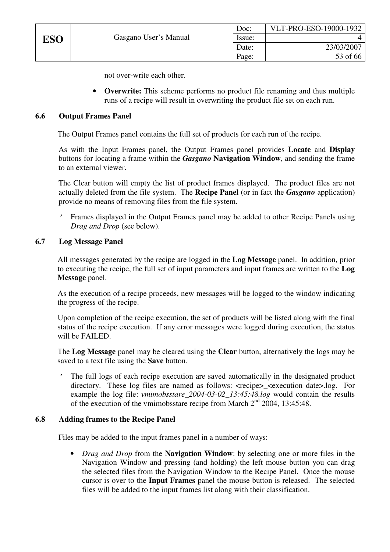not over-write each other.

• **Overwrite:** This scheme performs no product file renaming and thus multiple runs of a recipe will result in overwriting the product file set on each run.

# **6.6 Output Frames Panel**

The Output Frames panel contains the full set of products for each run of the recipe.

As with the Input Frames panel, the Output Frames panel provides **Locate** and **Display** buttons for locating a frame within the *Gasgano* **Navigation Window**, and sending the frame to an external viewer.

The Clear button will empty the list of product frames displayed. The product files are not actually deleted from the file system. The **Recipe Panel** (or in fact the *Gasgano* application) provide no means of removing files from the file system.

' Frames displayed in the Output Frames panel may be added to other Recipe Panels using *Drag and Drop* (see below).

### **6.7 Log Message Panel**

All messages generated by the recipe are logged in the **Log Message** panel. In addition, prior to executing the recipe, the full set of input parameters and input frames are written to the **Log Message** panel.

As the execution of a recipe proceeds, new messages will be logged to the window indicating the progress of the recipe.

Upon completion of the recipe execution, the set of products will be listed along with the final status of the recipe execution. If any error messages were logged during execution, the status will be FAILED.

The **Log Message** panel may be cleared using the **Clear** button, alternatively the logs may be saved to a text file using the **Save** button.

' The full logs of each recipe execution are saved automatically in the designated product directory. These log files are named as follows: <recipe>\_<execution date>.log. For example the log file: *vmimobsstare\_2004-03-02\_13:45:48.log* would contain the results of the execution of the vmimobsstare recipe from March  $2<sup>nd</sup>$  2004, 13:45:48.

#### **6.8 Adding frames to the Recipe Panel**

Files may be added to the input frames panel in a number of ways:

• *Drag and Drop* from the **Navigation Window**: by selecting one or more files in the Navigation Window and pressing (and holding) the left mouse button you can drag the selected files from the Navigation Window to the Recipe Panel. Once the mouse cursor is over to the **Input Frames** panel the mouse button is released. The selected files will be added to the input frames list along with their classification.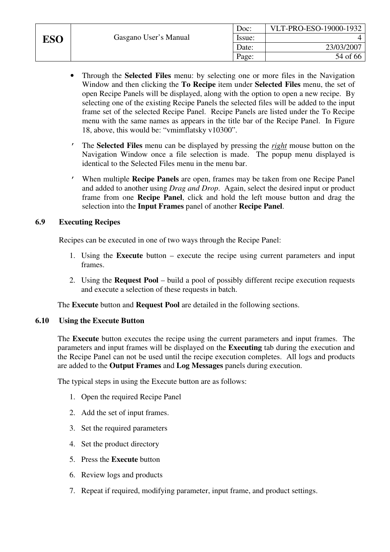|     |                       | Doc:   | VLT-PRO-ESO-19000-1932 |
|-----|-----------------------|--------|------------------------|
| ESO | Gasgano User's Manual | Issue: |                        |
|     |                       | Date:  | 23/03/2007             |
|     |                       | Page:  | 54 of 66               |

- Through the **Selected Files** menu: by selecting one or more files in the Navigation Window and then clicking the **To Recipe** item under **Selected Files** menu, the set of open Recipe Panels will be displayed, along with the option to open a new recipe. By selecting one of the existing Recipe Panels the selected files will be added to the input frame set of the selected Recipe Panel. Recipe Panels are listed under the To Recipe menu with the same names as appears in the title bar of the Recipe Panel. In Figure 18, above, this would be: "vmimflatsky v10300".
- ' The **Selected Files** menu can be displayed by pressing the *right* mouse button on the Navigation Window once a file selection is made. The popup menu displayed is identical to the Selected Files menu in the menu bar.
- ' When multiple **Recipe Panels** are open, frames may be taken from one Recipe Panel and added to another using *Drag and Drop*. Again, select the desired input or product frame from one **Recipe Panel**, click and hold the left mouse button and drag the selection into the **Input Frames** panel of another **Recipe Panel**.

# **6.9 Executing Recipes**

Recipes can be executed in one of two ways through the Recipe Panel:

- 1. Using the **Execute** button execute the recipe using current parameters and input frames.
- 2. Using the **Request Pool** build a pool of possibly different recipe execution requests and execute a selection of these requests in batch.

The **Execute** button and **Request Pool** are detailed in the following sections.

#### **6.10 Using the Execute Button**

The **Execute** button executes the recipe using the current parameters and input frames. The parameters and input frames will be displayed on the **Executing** tab during the execution and the Recipe Panel can not be used until the recipe execution completes. All logs and products are added to the **Output Frames** and **Log Messages** panels during execution.

The typical steps in using the Execute button are as follows:

- 1. Open the required Recipe Panel
- 2. Add the set of input frames.
- 3. Set the required parameters
- 4. Set the product directory
- 5. Press the **Execute** button
- 6. Review logs and products
- 7. Repeat if required, modifying parameter, input frame, and product settings.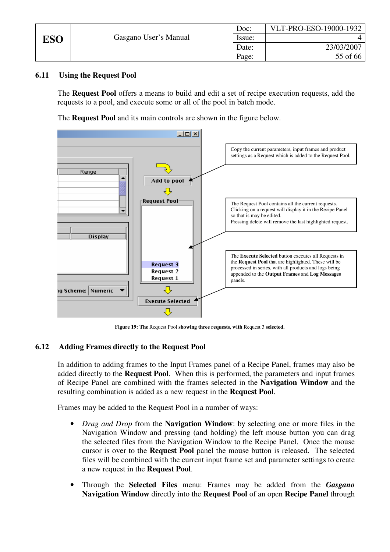|     |                       | Doc:   | VLT-PRO-ESO-19000-1932 |
|-----|-----------------------|--------|------------------------|
| ESO | Gasgano User's Manual | Issue: |                        |
|     |                       | Date:  | 23/03/2007             |
|     |                       | Page:  | 55 of 66               |

# **6.11 Using the Request Pool**

The **Request Pool** offers a means to build and edit a set of recipe execution requests, add the requests to a pool, and execute some or all of the pool in batch mode.

The **Request Pool** and its main controls are shown in the figure below.



**Figure 19: The** Request Pool **showing three requests, with** Request 3 **selected.** 

# **6.12 Adding Frames directly to the Request Pool**

In addition to adding frames to the Input Frames panel of a Recipe Panel, frames may also be added directly to the **Request Pool**. When this is performed, the parameters and input frames of Recipe Panel are combined with the frames selected in the **Navigation Window** and the resulting combination is added as a new request in the **Request Pool**.

Frames may be added to the Request Pool in a number of ways:

- *Drag and Drop* from the **Navigation Window**: by selecting one or more files in the Navigation Window and pressing (and holding) the left mouse button you can drag the selected files from the Navigation Window to the Recipe Panel. Once the mouse cursor is over to the **Request Pool** panel the mouse button is released. The selected files will be combined with the current input frame set and parameter settings to create a new request in the **Request Pool**.
- Through the **Selected Files** menu: Frames may be added from the *Gasgano* **Navigation Window** directly into the **Request Pool** of an open **Recipe Panel** through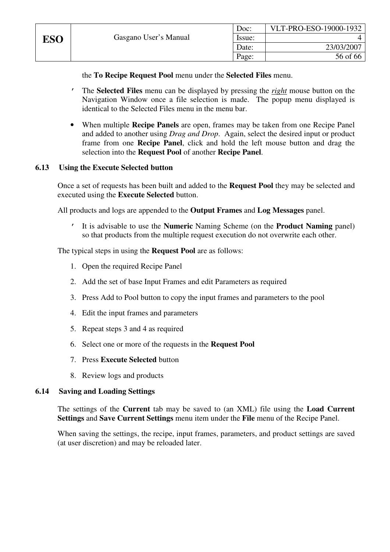the **To Recipe Request Pool** menu under the **Selected Files** menu.

- ' The **Selected Files** menu can be displayed by pressing the *right* mouse button on the Navigation Window once a file selection is made. The popup menu displayed is identical to the Selected Files menu in the menu bar.
- When multiple **Recipe Panels** are open, frames may be taken from one Recipe Panel and added to another using *Drag and Drop*. Again, select the desired input or product frame from one **Recipe Panel**, click and hold the left mouse button and drag the selection into the **Request Pool** of another **Recipe Panel**.

# **6.13 Using the Execute Selected button**

Once a set of requests has been built and added to the **Request Pool** they may be selected and executed using the **Execute Selected** button.

All products and logs are appended to the **Output Frames** and **Log Messages** panel.

' It is advisable to use the **Numeric** Naming Scheme (on the **Product Naming** panel) so that products from the multiple request execution do not overwrite each other.

The typical steps in using the **Request Pool** are as follows:

- 1. Open the required Recipe Panel
- 2. Add the set of base Input Frames and edit Parameters as required
- 3. Press Add to Pool button to copy the input frames and parameters to the pool
- 4. Edit the input frames and parameters
- 5. Repeat steps 3 and 4 as required
- 6. Select one or more of the requests in the **Request Pool**
- 7. Press **Execute Selected** button
- 8. Review logs and products

# **6.14 Saving and Loading Settings**

The settings of the **Current** tab may be saved to (an XML) file using the **Load Current Settings** and **Save Current Settings** menu item under the **File** menu of the Recipe Panel.

When saving the settings, the recipe, input frames, parameters, and product settings are saved (at user discretion) and may be reloaded later.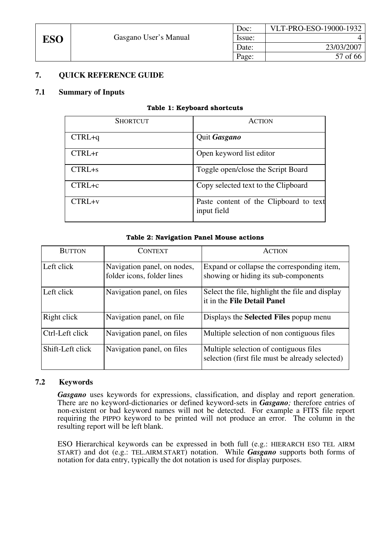

# **7. QUICK REFERENCE GUIDE**

#### **7.1 Summary of Inputs**

#### Table 1: Keyboard shortcuts

| <b>SHORTCUT</b> | <b>ACTION</b>                                         |
|-----------------|-------------------------------------------------------|
| $CTRL+q$        | Quit Gasgano                                          |
| $CTRL+r$        | Open keyword list editor                              |
| $CTRL + s$      | Toggle open/close the Script Board                    |
| $CTRL+c$        | Copy selected text to the Clipboard                   |
| $CTRL+v$        | Paste content of the Clipboard to text<br>input field |

#### Table 2: Navigation Panel Mouse actions

| <b>BUTTON</b>    | <b>CONTEXT</b>                                            | <b>ACTION</b>                                                                             |
|------------------|-----------------------------------------------------------|-------------------------------------------------------------------------------------------|
| Left click       | Navigation panel, on nodes,<br>folder icons, folder lines | Expand or collapse the corresponding item,<br>showing or hiding its sub-components        |
| Left click       | Navigation panel, on files                                | Select the file, highlight the file and display<br>it in the File Detail Panel            |
| Right click      | Navigation panel, on file.                                | Displays the <b>Selected Files</b> popup menu                                             |
| Ctrl-Left click  | Navigation panel, on files                                | Multiple selection of non contiguous files                                                |
| Shift-Left click | Navigation panel, on files                                | Multiple selection of contiguous files<br>selection (first file must be already selected) |

#### **7.2 Keywords**

*Gasgano* uses keywords for expressions, classification, and display and report generation. There are no keyword-dictionaries or defined keyword-sets in *Gasgano;* therefore entries of non-existent or bad keyword names will not be detected. For example a FITS file report requiring the PIPPO keyword to be printed will not produce an error. The column in the resulting report will be left blank.

ESO Hierarchical keywords can be expressed in both full (e.g.: HIERARCH ESO TEL AIRM START) and dot (e.g.: TEL.AIRM.START) notation. While *Gasgano* supports both forms of notation for data entry, typically the dot notation is used for display purposes.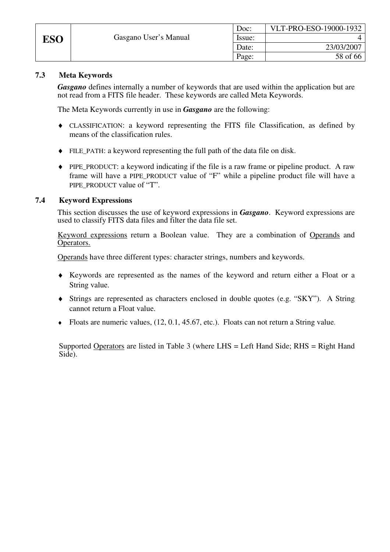|            |                       | Doc:   | VLT-PRO-ESO-19000-1932 |
|------------|-----------------------|--------|------------------------|
| <b>ESO</b> | Gasgano User's Manual | Issue: |                        |
|            |                       | Date:  | 23/03/2007             |
|            |                       | Page:  | 58 of 66               |

# **7.3 Meta Keywords**

*Gasgano* defines internally a number of keywords that are used within the application but are not read from a FITS file header. These keywords are called Meta Keywords.

The Meta Keywords currently in use in *Gasgano* are the following:

- ♦ CLASSIFICATION: a keyword representing the FITS file Classification, as defined by means of the classification rules.
- ♦ FILE\_PATH: a keyword representing the full path of the data file on disk.
- ♦ PIPE\_PRODUCT: a keyword indicating if the file is a raw frame or pipeline product. A raw frame will have a PIPE\_PRODUCT value of "F" while a pipeline product file will have a PIPE\_PRODUCT\_value of "T".

### **7.4 Keyword Expressions**

This section discusses the use of keyword expressions in *Gasgano*. Keyword expressions are used to classify FITS data files and filter the data file set.

Keyword expressions return a Boolean value. They are a combination of Operands and Operators.

Operands have three different types: character strings, numbers and keywords.

- ♦ Keywords are represented as the names of the keyword and return either a Float or a String value.
- ♦ Strings are represented as characters enclosed in double quotes (e.g. "SKY"). A String cannot return a Float value.
- $\bullet$  Floats are numeric values, (12, 0.1, 45.67, etc.). Floats can not return a String value.

Supported Operators are listed in Table 3 (where LHS = Left Hand Side; RHS = Right Hand Side).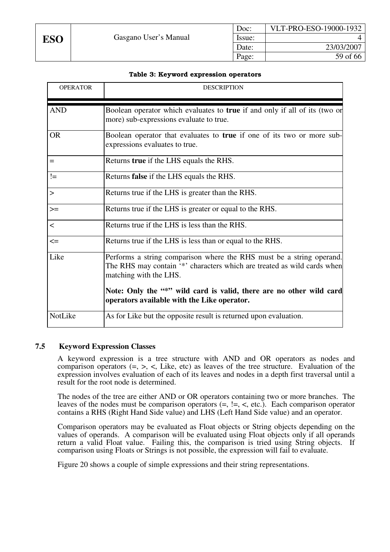#### Table 3: Keyword expression operators

| <b>OPERATOR</b> | <b>DESCRIPTION</b>                                                                                                                                                                                                                                                                              |
|-----------------|-------------------------------------------------------------------------------------------------------------------------------------------------------------------------------------------------------------------------------------------------------------------------------------------------|
| <b>AND</b>      | Boolean operator which evaluates to <b>true</b> if and only if all of its (two or<br>more) sub-expressions evaluate to true.                                                                                                                                                                    |
| <b>OR</b>       | Boolean operator that evaluates to true if one of its two or more sub-<br>expressions evaluates to true.                                                                                                                                                                                        |
| $=$             | Returns true if the LHS equals the RHS.                                                                                                                                                                                                                                                         |
| $!=$            | Returns <b>false</b> if the LHS equals the RHS.                                                                                                                                                                                                                                                 |
| $\geq$          | Returns true if the LHS is greater than the RHS.                                                                                                                                                                                                                                                |
| $>=$            | Returns true if the LHS is greater or equal to the RHS.                                                                                                                                                                                                                                         |
| $\prec$         | Returns true if the LHS is less than the RHS.                                                                                                                                                                                                                                                   |
| $\leq$          | Returns true if the LHS is less than or equal to the RHS.                                                                                                                                                                                                                                       |
| Like            | Performs a string comparison where the RHS must be a string operand.<br>The RHS may contain '*' characters which are treated as wild cards when<br>matching with the LHS.<br>Note: Only the "*" wild card is valid, there are no other wild card<br>operators available with the Like operator. |
| NotLike         | As for Like but the opposite result is returned upon evaluation.                                                                                                                                                                                                                                |

# **7.5 Keyword Expression Classes**

A keyword expression is a tree structure with AND and OR operators as nodes and comparison operators  $(=, >, <,$  Like, etc) as leaves of the tree structure. Evaluation of the expression involves evaluation of each of its leaves and nodes in a depth first traversal until a result for the root node is determined.

The nodes of the tree are either AND or OR operators containing two or more branches. The leaves of the nodes must be comparison operators  $(=, !=, <, etc.).$  Each comparison operator contains a RHS (Right Hand Side value) and LHS (Left Hand Side value) and an operator.

Comparison operators may be evaluated as Float objects or String objects depending on the values of operands. A comparison will be evaluated using Float objects only if all operands return a valid Float value. Failing this, the comparison is tried using String objects. If comparison using Floats or Strings is not possible, the expression will fail to evaluate.

Figure 20 shows a couple of simple expressions and their string representations.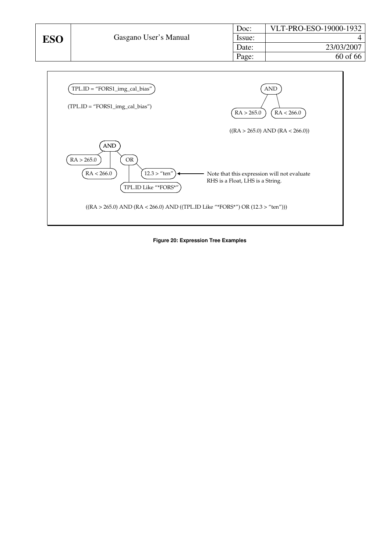| Doc:   | VLT-PRO-ESO-19000-1932 |
|--------|------------------------|
| Issue: |                        |
| Date:  | 23/03/2007             |
| Page:  | 60 of 66               |



**Figure 20: Expression Tree Examples**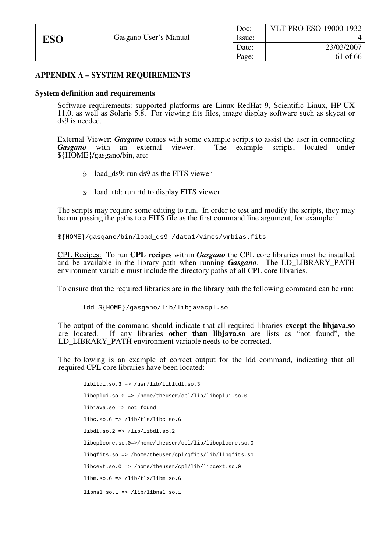# **APPENDIX A – SYSTEM REQUIREMENTS**

#### **System definition and requirements**

Software requirements: supported platforms are Linux RedHat 9, Scientific Linux, HP-UX 11.0, as well as Solaris 5.8. For viewing fits files, image display software such as skycat or ds9 is needed.

External Viewer: *Gasgano* comes with some example scripts to assist the user in connecting **Gasgano** with an external viewer. The example scripts, located under The example scripts, located under \${HOME}/gasgano/bin, are:

- § load\_ds9: run ds9 as the FITS viewer
- § load\_rtd: run rtd to display FITS viewer

The scripts may require some editing to run. In order to test and modify the scripts, they may be run passing the paths to a FITS file as the first command line argument, for example:

\${HOME}/gasgano/bin/load\_ds9 /data1/vimos/vmbias.fits

CPL Recipes: To run **CPL recipes** within *Gasgano* the CPL core libraries must be installed and be available in the library path when running *Gasgano*. The LD\_LIBRARY\_PATH environment variable must include the directory paths of all CPL core libraries.

To ensure that the required libraries are in the library path the following command can be run:

```
ldd ${HOME}/gasgano/lib/libjavacpl.so
```
The output of the command should indicate that all required libraries **except the libjava.so** are located. If any libraries **other than libjava.so** are lists as "not found", the LD\_LIBRARY\_PATH environment variable needs to be corrected.

The following is an example of correct output for the ldd command, indicating that all required CPL core libraries have been located:

```
 libltdl.so.3 => /usr/lib/libltdl.so.3 
 libcplui.so.0 => /home/theuser/cpl/lib/libcplui.so.0 
 libjava.so => not found 
 libc.so.6 => /lib/tls/libc.so.6 
 libdl.so.2 => /lib/libdl.so.2 
 libcplcore.so.0=>/home/theuser/cpl/lib/libcplcore.so.0 
 libqfits.so => /home/theuser/cpl/qfits/lib/libqfits.so 
 libcext.so.0 => /home/theuser/cpl/lib/libcext.so.0 
 libm.so.6 => /lib/tls/libm.so.6 
 libnsl.so.1 => /lib/libnsl.so.1
```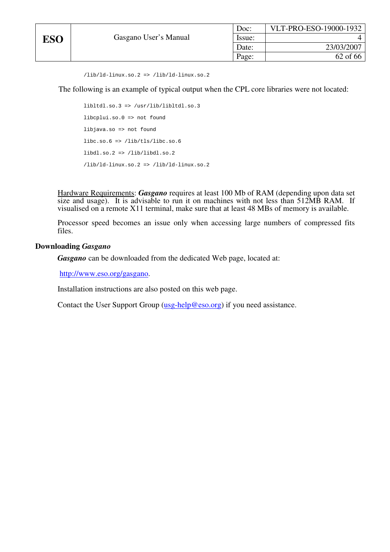```
 /lib/ld-linux.so.2 => /lib/ld-linux.so.2
```
The following is an example of typical output when the CPL core libraries were not located:

```
 libltdl.so.3 => /usr/lib/libltdl.so.3 
 libcplui.so.0 => not found 
 libjava.so => not found 
 libc.so.6 => /lib/tls/libc.so.6 
 libdl.so.2 => /lib/libdl.so.2 
 /lib/ld-linux.so.2 => /lib/ld-linux.so.2
```
Hardware Requirements: *Gasgano* requires at least 100 Mb of RAM (depending upon data set size and usage). It is advisable to run it on machines with not less than 512MB RAM. If visualised on a remote X11 terminal, make sure that at least 48 MBs of memory is available.

Processor speed becomes an issue only when accessing large numbers of compressed fits files.

#### **Downloading** *Gasgano*

*Gasgano* can be downloaded from the dedicated Web page, located at:

http://www.eso.org/gasgano.

Installation instructions are also posted on this web page.

Contact the User Support Group (usg-help@eso.org) if you need assistance.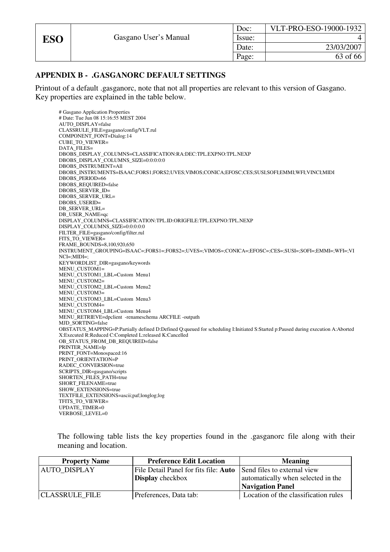# **APPENDIX B - .GASGANORC DEFAULT SETTINGS**

Printout of a default .gasganorc, note that not all properties are relevant to this version of Gasgano. Key properties are explained in the table below.

# Gasgano Application Properties # Date: Tue Jun 08 15:16:55 MEST 2004 AUTO\_DISPLAY=false CLASSRULE\_FILE=gasgano/config/VLT.rul COMPONENT\_FONT=Dialog:14 CUBE TO VIEWER= DATA\_FILES= DBOBS\_DISPLAY\_COLUMNS=CLASSIFICATION:RA:DEC:TPL.EXPNO:TPL.NEXP DBOBS\_DISPLAY\_COLUMNS\_SIZE=0:0:0:0:0 DBOBS\_INSTRUMENT=All DBOBS\_INSTRUMENTS=ISAAC;FORS1;FORS2;UVES;VIMOS;CONICA;EFOSC;CES;SUSI;SOFI;EMMI;WFI;VINCI;MIDI DBOBS\_PERIOD=66 DBOBS\_REQUIRED=false DBOBS\_SERVER\_ID= DBOBS\_SERVER\_URL= DBOBS\_USERID= DB\_SERVER\_URL= DB\_USER\_NAME=qc DISPLAY\_COLUMNS=CLASSIFICATION:TPL.ID:ORIGFILE:TPL.EXPNO:TPL.NEXP DISPLAY\_COLUMNS\_SIZE=0:0:0:0:0 FILTER\_FILE=gasgano/config/filter.rul FITS\_TO\_VIEWER= FRAME\_BOUNDS=8,100,920,650 INSTRUMENT\_GROUPING=ISAAC=;FORS1=;FORS2=;UVES=;VIMOS=;CONICA=;EFOSC=;CES=;SUSI=;SOFI=;EMMI=;WFI=;VI NCI=;MIDI=; KEYWORDLIST\_DIR=gasgano/keywords MENU\_CUSTOM1= MENU\_CUSTOM1\_LBL=Custom Menu1 MENU\_CUSTOM2= MENU\_CUSTOM2\_LBL=Custom Menu2 MENU\_CUSTOM3= MENU\_CUSTOM3\_LBL=Custom Menu3 MENU\_CUSTOM4= MENU\_CUSTOM4\_LBL=Custom Menu4 MENU\_RETRIEVE=dpclient -renameschema ARCFILE -outpath MJD\_SORTING=false OBSTATUS\_MAPPING=P:Partially defined D:Defined Q:queued for scheduling I:Initiated S:Started p:Paused during execution A:Aborted X:Executed R:Reduced C:Completed L:released K:Cancelled OB\_STATUS\_FROM\_DB\_REQUIRED=false PRINTER\_NAME=lp PRINT\_FONT=Monospaced:16 PRINT\_ORIENTATION=P RADEC\_CONVERSION=true SCRIPTS\_DIR=gasgano/scripts SHORTEN\_FILES\_PATH=true SHORT\_FILENAME=true SHOW\_EXTENSIONS=true TEXTFILE\_EXTENSIONS=ascii;paf;longlog;log TFITS\_TO\_VIEWER= UPDATE\_TIMER=0 VERBOSE LEVEL=0

The following table lists the key properties found in the .gasganorc file along with their meaning and location.

| <b>Property Name</b>  | <b>Preference Edit Location</b>                                          | <b>Meaning</b>                       |
|-----------------------|--------------------------------------------------------------------------|--------------------------------------|
| <b>AUTO DISPLAY</b>   | File Detail Panel for fits file: <b>Auto</b> Send files to external view |                                      |
|                       | <b>Display</b> checkbox                                                  | automatically when selected in the   |
|                       |                                                                          | <b>Navigation Panel</b>              |
| <b>CLASSRULE FILE</b> | Preferences, Data tab:                                                   | Location of the classification rules |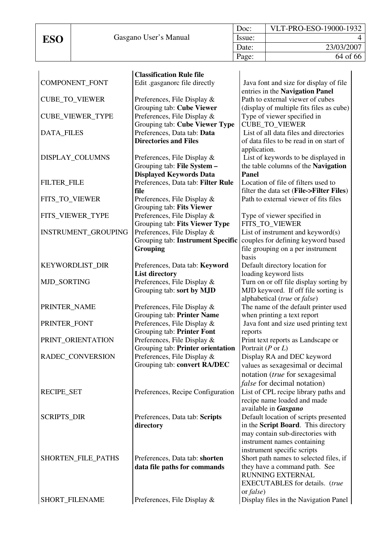|            |                       | Doc:   | VLT-PRO-ESO-19000-1932 |
|------------|-----------------------|--------|------------------------|
| <b>ESO</b> | Gasgano User's Manual | Issue: |                        |
|            |                       | Date:  | 23/03/2007             |
|            |                       | Page:  | 64 of 66               |

|                            | <b>Classification Rule file</b>    |                                                                 |
|----------------------------|------------------------------------|-----------------------------------------------------------------|
| COMPONENT_FONT             | Edit .gasganorc file directly      | Java font and size for display of file                          |
|                            |                                    | entries in the Navigation Panel                                 |
| <b>CUBE_TO_VIEWER</b>      | Preferences, File Display &        | Path to external viewer of cubes                                |
|                            | Grouping tab: Cube Viewer          | (display of multiple fits files as cube)                        |
| <b>CUBE_VIEWER_TYPE</b>    | Preferences, File Display &        | Type of viewer specified in                                     |
|                            | Grouping tab: Cube Viewer Type     | <b>CUBE_TO_VIEWER</b>                                           |
| <b>DATA_FILES</b>          | Preferences, Data tab: Data        | List of all data files and directories                          |
|                            | <b>Directories and Files</b>       | of data files to be read in on start of                         |
|                            |                                    | application.                                                    |
| DISPLAY_COLUMNS            | Preferences, File Display &        | List of keywords to be displayed in                             |
|                            | Grouping tab: File System -        | the table columns of the Navigation                             |
|                            | <b>Displayed Keywords Data</b>     | Panel                                                           |
| <b>FILTER_FILE</b>         | Preferences, Data tab: Filter Rule | Location of file of filters used to                             |
|                            | file                               | filter the data set (File->Filter Files)                        |
| FITS_TO_VIEWER             | Preferences, File Display &        | Path to external viewer of fits files                           |
|                            | Grouping tab: Fits Viewer          |                                                                 |
| FITS_VIEWER_TYPE           | Preferences, File Display &        | Type of viewer specified in                                     |
|                            | Grouping tab: Fits Viewer Type     | FITS_TO_VIEWER                                                  |
| <b>INSTRUMENT_GROUPING</b> | Preferences, File Display &        | List of instrument and keyword $(s)$                            |
|                            | Grouping tab: Instrument Specific  | couples for defining keyword based                              |
|                            | <b>Grouping</b>                    | file grouping on a per instrument                               |
|                            |                                    | basis                                                           |
| KEYWORDLIST_DIR            | Preferences, Data tab: Keyword     | Default directory location for                                  |
|                            | <b>List directory</b>              | loading keyword lists                                           |
| MJD_SORTING                | Preferences, File Display &        | Turn on or off file display sorting by                          |
|                            | Grouping tab: sort by MJD          | MJD keyword. If off file sorting is                             |
|                            |                                    | alphabetical (true or false)                                    |
| PRINTER_NAME               | Preferences, File Display &        | The name of the default printer used                            |
|                            | Grouping tab: Printer Name         | when printing a text report                                     |
| PRINTER_FONT               | Preferences, File Display &        | Java font and size used printing text                           |
|                            | Grouping tab: Printer Font         | reports                                                         |
| PRINT_ORIENTATION          | Preferences, File Display &        | Print text reports as Landscape or                              |
|                            | Grouping tab: Printer orientation  | Portrait ( $P$ or $L$ )                                         |
| RADEC CONVERSION           | Preferences, File Display &        | Display RA and DEC keyword                                      |
|                            | Grouping tab: convert RA/DEC       | values as sexagesimal or decimal                                |
|                            |                                    | notation (true for sexagesimal                                  |
|                            |                                    | <i>false</i> for decimal notation)                              |
| <b>RECIPE_SET</b>          | Preferences, Recipe Configuration  | List of CPL recipe library paths and                            |
|                            |                                    | recipe name loaded and made                                     |
|                            |                                    | available in Gasgano                                            |
| <b>SCRIPTS_DIR</b>         | Preferences, Data tab: Scripts     | Default location of scripts presented                           |
|                            | directory                          | in the Script Board. This directory                             |
|                            |                                    |                                                                 |
|                            |                                    | may contain sub-directories with<br>instrument names containing |
|                            |                                    | instrument specific scripts                                     |
|                            |                                    |                                                                 |
| SHORTEN_FILE_PATHS         | Preferences, Data tab: shorten     | Short path names to selected files, if                          |
|                            | data file paths for commands       | they have a command path. See<br>RUNNING EXTERNAL               |
|                            |                                    | <b>EXECUTABLES</b> for details. (true                           |
|                            |                                    |                                                                 |
| SHORT_FILENAME             | Preferences, File Display &        | or <i>false</i> )<br>Display files in the Navigation Panel      |
|                            |                                    |                                                                 |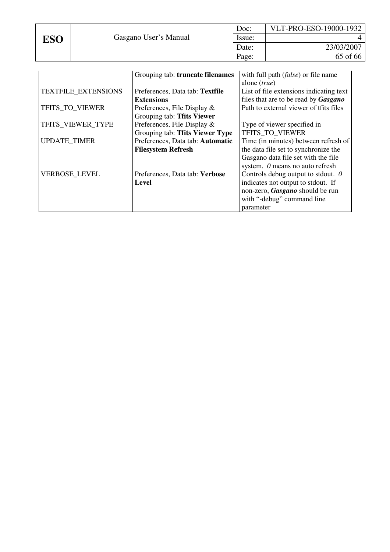|     |                       | Doc:   | VLT-PRO-ESO-19000-1932 |
|-----|-----------------------|--------|------------------------|
| ESO | Gasgano User's Manual | Issue: |                        |
|     |                       | Date:  | 23/03/2007             |
|     |                       | Page:  | 65 of 66               |

|                            | Grouping tab: truncate filenames | with full path ( <i>false</i> ) or file name |
|----------------------------|----------------------------------|----------------------------------------------|
|                            |                                  | alone ( <i>true</i> )                        |
| <b>TEXTFILE_EXTENSIONS</b> | Preferences, Data tab: Textfile  | List of file extensions indicating text      |
|                            | <b>Extensions</b>                | files that are to be read by Gasgano         |
| TFITS_TO_VIEWER            | Preferences, File Display $\&$   | Path to external viewer of tfits files       |
|                            | Grouping tab: Tfits Viewer       |                                              |
| TFITS_VIEWER_TYPE          | Preferences, File Display &      | Type of viewer specified in                  |
|                            | Grouping tab: Tfits Viewer Type  | TFITS TO VIEWER                              |
| <b>UPDATE_TIMER</b>        | Preferences, Data tab: Automatic | Time (in minutes) between refresh of         |
|                            | <b>Filesystem Refresh</b>        | the data file set to synchronize the         |
|                            |                                  | Gasgano data file set with the file          |
|                            |                                  | system. 0 means no auto refresh              |
| <b>VERBOSE_LEVEL</b>       | Preferences, Data tab: Verbose   | Controls debug output to stdout. $\theta$    |
|                            | Level                            | indicates not output to stdout. If           |
|                            |                                  | non-zero, Gasgano should be run              |
|                            |                                  | with "-debug" command line                   |
|                            |                                  | parameter                                    |